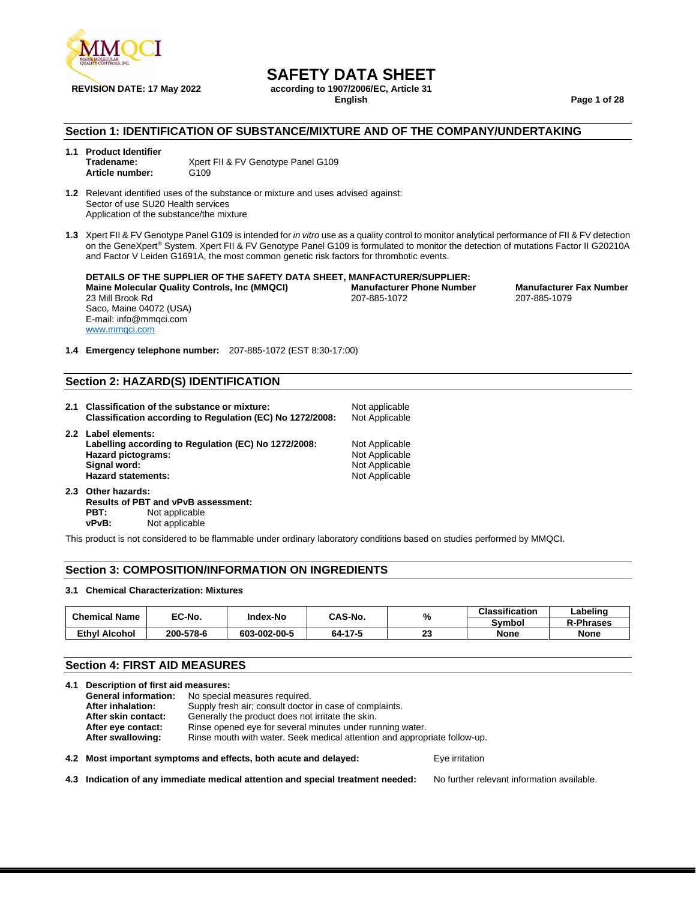

### **SAFETY DATA SHEET**

**REVISION DATE: 17 May 2022 according to 1907/2006/EC, Article 31**

**English Page 1 of 28**

#### **Section 1: IDENTIFICATION OF SUBSTANCE/MIXTURE AND OF THE COMPANY/UNDERTAKING**

- **1.1 Product Identifier** Xpert FII & FV Genotype Panel G109 **Article number:** G109
- **1.2** Relevant identified uses of the substance or mixture and uses advised against: Sector of use SU20 Health services Application of the substance/the mixture
- **1.3** Xpert FII & FV Genotype Panel G109 is intended for *in vitro* use as a quality control to monitor analytical performance of FII & FV detection on the GeneXpert® System. Xpert FII & FV Genotype Panel G109 is formulated to monitor the detection of mutations Factor II G20210A and Factor V Leiden G1691A, the most common genetic risk factors for thrombotic events.

**DETAILS OF THE SUPPLIER OF THE SAFETY DATA SHEET, MANFACTURER/SUPPLIER: Maine Molecular Quality Controls, Inc (MMQCI) Manufacturer Phone Number Manufacturer Fax Number**<br>207-885-1079 207-885-1079 207-885-1079 23 Mill Brook Rd Saco, Maine 04072 (USA) E-mail: info@mmqci.com [www.mmqci.com](http://www.mmqci.com/)

207-885-1079

**1.4 Emergency telephone number:** 207-885-1072 (EST 8:30-17:00)

#### **Section 2: HAZARD(S) IDENTIFICATION**

- **2.1 Classification of the substance or mixture:** Not applicable Classification according to Regulation (EC) No 1272/2008: Not Applicable **Classification according to Regulation (EC) No 1272/2008: 2.2 Label elements:** Labelling according to Regulation (EC) No 1272/2008: Not Applicable<br>Hazard pictograms: Not Applicable **Hazard pictograms:**<br>Signal word: **Not Applicable** Hazard statements: Not Applicable **2.3 Other hazards:**
- **Results of PBT and vPvB assessment: PBT:** Not applicable<br>vPvB: Not applicable **Not applicable**

This product is not considered to be flammable under ordinary laboratory conditions based on studies performed by MMQCI.

#### **Section 3: COMPOSITION/INFORMATION ON INGREDIENTS**

#### **3.1 Chemical Characterization: Mixtures**

| <b>Chemical Name</b> | EC-No.    | Index-No     |         | %         | <b>Classification</b> | ∟abelinơ         |
|----------------------|-----------|--------------|---------|-----------|-----------------------|------------------|
|                      |           |              | CAS-No. |           | Svmbol                | <b>R-Phrases</b> |
| Ethvl Alcohol        | 200-578-6 | 603-002-00-5 | 64-17-5 | nn.<br>-- | <b>None</b>           | <b>None</b>      |

#### **Section 4: FIRST AID MEASURES**

| 4.1 Description of first aid measures:                                       |                                                                           |                |  |
|------------------------------------------------------------------------------|---------------------------------------------------------------------------|----------------|--|
| <b>General information:</b>                                                  | No special measures required.                                             |                |  |
| Supply fresh air; consult doctor in case of complaints.<br>After inhalation: |                                                                           |                |  |
| After skin contact:                                                          | Generally the product does not irritate the skin.                         |                |  |
| After eye contact:                                                           | Rinse opened eye for several minutes under running water.                 |                |  |
| After swallowing:                                                            | Rinse mouth with water. Seek medical attention and appropriate follow-up. |                |  |
|                                                                              | 4.2 Most important symptoms and effects, both acute and delayed:          | Eye irritation |  |

**4.3 Indication of any immediate medical attention and special treatment needed:** No further relevant information available.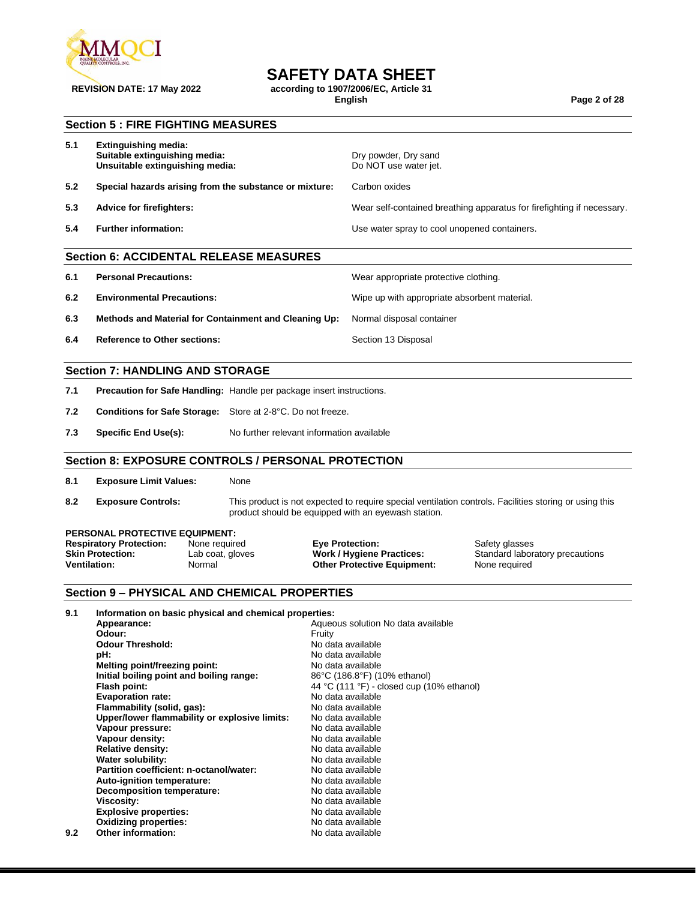

### **SAFETY DATA SHEET**

**REVISION DATE: 17 May 2022 according to 1907/2006/EC, Article 31**

**English Page 2 of 28**

#### **Section 5 : FIRE FIGHTING MEASURES**

| 5.1 | Extinguishing media:<br>Suitable extinguishing media:<br>Unsuitable extinguishing media: | Dry powder, Dry sand<br>Do NOT use water jet.                          |
|-----|------------------------------------------------------------------------------------------|------------------------------------------------------------------------|
| 5.2 | Special hazards arising from the substance or mixture:                                   | Carbon oxides                                                          |
| 5.3 | Advice for firefighters:                                                                 | Wear self-contained breathing apparatus for firefighting if necessary. |
| 5.4 | <b>Further information:</b>                                                              | Use water spray to cool unopened containers.                           |
|     | <b>Section 6: ACCIDENTAL RELEASE MEASURES</b>                                            |                                                                        |

| 6.1 | <b>Personal Precautions:</b>                                                           | Wear appropriate protective clothing.        |
|-----|----------------------------------------------------------------------------------------|----------------------------------------------|
| 6.2 | <b>Environmental Precautions:</b>                                                      | Wipe up with appropriate absorbent material. |
| 6.3 | <b>Methods and Material for Containment and Cleaning Up:</b> Normal disposal container |                                              |
| 6.4 | <b>Reference to Other sections:</b>                                                    | Section 13 Disposal                          |

#### **Section 7: HANDLING AND STORAGE**

| 7.1 |  | <b>Precaution for Safe Handling:</b> Handle per package insert instructions. |
|-----|--|------------------------------------------------------------------------------|
|-----|--|------------------------------------------------------------------------------|

- **7.2 Conditions for Safe Storage:** Store at 2-8°C. Do not freeze.
- **7.3 Specific End Use(s):** No further relevant information available

#### **Section 8: EXPOSURE CONTROLS / PERSONAL PROTECTION**

- **8.1 Exposure Limit Values:** None
- 

**8.2 Exposure Controls:** This product is not expected to require special ventilation controls. Facilities storing or using this product should be equipped with an eyewash station.

#### **PERSONAL PROTECTIVE EQUIPMENT:**

| <b>Respiratory Protection:</b> | None required    | <b>Eye Protection:</b>             | Safety glasses                  |
|--------------------------------|------------------|------------------------------------|---------------------------------|
| <b>Skin Protection:</b>        | Lab coat, gloves | Work / Hygiene Practices:          | Standard laboratory precautions |
| <b>Ventilation:</b>            | Normal           | <b>Other Protective Equipment:</b> | None required                   |

#### **Section 9 – PHYSICAL AND CHEMICAL PROPERTIES**

| 9.1 | Information on basic physical and chemical properties: |                                           |
|-----|--------------------------------------------------------|-------------------------------------------|
|     | Appearance:                                            | Aqueous solution No data available        |
|     | Odour:                                                 | Fruitv                                    |
|     | <b>Odour Threshold:</b>                                | No data available                         |
|     | pH:                                                    | No data available                         |
|     | Melting point/freezing point:                          | No data available                         |
|     | Initial boiling point and boiling range:               | 86°C (186.8°F) (10% ethanol)              |
|     | Flash point:                                           | 44 °C (111 °F) - closed cup (10% ethanol) |
|     | <b>Evaporation rate:</b>                               | No data available                         |
|     | Flammability (solid, gas):                             | No data available                         |
|     | Upper/lower flammability or explosive limits:          | No data available                         |
|     | Vapour pressure:                                       | No data available                         |
|     | Vapour density:                                        | No data available                         |
|     | <b>Relative density:</b>                               | No data available                         |
|     | Water solubility:                                      | No data available                         |
|     | Partition coefficient: n-octanol/water:                | No data available                         |
|     | Auto-ignition temperature:                             | No data available                         |
|     | Decomposition temperature:                             | No data available                         |
|     | <b>Viscosity:</b>                                      | No data available                         |
|     | <b>Explosive properties:</b>                           | No data available                         |
|     | <b>Oxidizing properties:</b>                           | No data available                         |
| 9.2 | Other information:                                     | No data available                         |
|     |                                                        |                                           |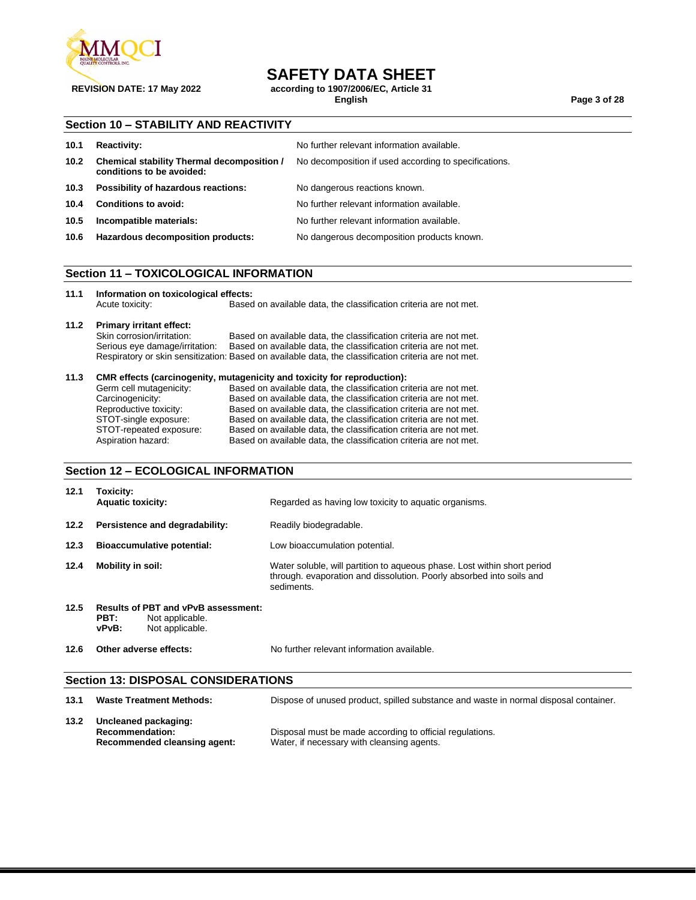

**REVISION DATE: 17 May 2022 according to 1907/2006/EC, Article 31**

### **SAFETY DATA SHEET**

**English Page 3 of 28**

#### **Section 10 – STABILITY AND REACTIVITY**

| 10.1 | <b>Reactivity:</b>                                                      | No further relevant information available.            |
|------|-------------------------------------------------------------------------|-------------------------------------------------------|
| 10.2 | Chemical stability Thermal decomposition /<br>conditions to be avoided: | No decomposition if used according to specifications. |
| 10.3 | <b>Possibility of hazardous reactions:</b>                              | No dangerous reactions known.                         |
| 10.4 | <b>Conditions to avoid:</b>                                             | No further relevant information available.            |
| 10.5 | Incompatible materials:                                                 | No further relevant information available.            |
| 10.6 | Hazardous decomposition products:                                       | No dangerous decomposition products known.            |

#### **Section 11 – TOXICOLOGICAL INFORMATION**

| Information on toxicological effects:<br>11.1 |                 |                                                                   |
|-----------------------------------------------|-----------------|-------------------------------------------------------------------|
|                                               | Acute toxicity: | Based on available data, the classification criteria are not met. |

#### **11.2 Primary irritant effect:** Based on available data, the classification criteria are not met. Serious eye damage/irritation: Based on available data, the classification criteria are not met. Respiratory or skin sensitization: Based on available data, the classification criteria are not met.

#### **11.3 CMR effects (carcinogenity, mutagenicity and toxicity for reproduction):**

| Germ cell mutagenicity: | Based on available data, the classification criteria are not met. |
|-------------------------|-------------------------------------------------------------------|
| Carcinogenicity:        | Based on available data, the classification criteria are not met. |
| Reproductive toxicity:  | Based on available data, the classification criteria are not met. |
| STOT-single exposure:   | Based on available data, the classification criteria are not met. |
| STOT-repeated exposure: | Based on available data, the classification criteria are not met. |
| Aspiration hazard:      | Based on available data, the classification criteria are not met. |

#### **Section 12 – ECOLOGICAL INFORMATION**

| 12.1 | Toxicitv:<br><b>Aquatic toxicity:</b>                                                             | Regarded as having low toxicity to aquatic organisms.                                                                                                          |
|------|---------------------------------------------------------------------------------------------------|----------------------------------------------------------------------------------------------------------------------------------------------------------------|
| 12.2 | Persistence and degradability:                                                                    | Readily biodegradable.                                                                                                                                         |
| 12.3 | <b>Bioaccumulative potential:</b>                                                                 | Low bioaccumulation potential.                                                                                                                                 |
| 12.4 | <b>Mobility in soil:</b>                                                                          | Water soluble, will partition to aqueous phase. Lost within short period<br>through. evaporation and dissolution. Poorly absorbed into soils and<br>sediments. |
| 12.5 | <b>Results of PBT and vPvB assessment:</b><br>PBT:<br>Not applicable.<br>Not applicable.<br>vPvB: |                                                                                                                                                                |

**No further relevant information available.** 

#### **Section 13: DISPOSAL CONSIDERATIONS**

| 13.1 | <b>Waste Treatment Methods:</b>                                                | Dispose of unused product, spilled substance and waste in normal disposal container.                   |
|------|--------------------------------------------------------------------------------|--------------------------------------------------------------------------------------------------------|
| 13.2 | Uncleaned packaging:<br><b>Recommendation:</b><br>Recommended cleansing agent: | Disposal must be made according to official regulations.<br>Water, if necessary with cleansing agents. |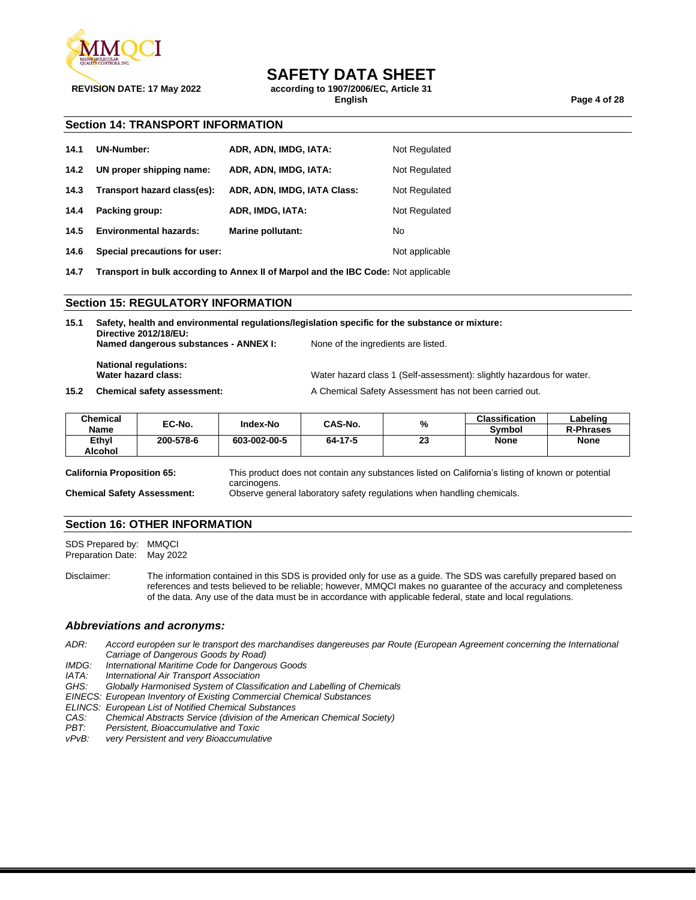

### **SAFETY DATA SHEET**

**REVISION DATE: 17 May 2022 according to 1907/2006/EC, Article 31**

**English Page 4 of 28**

#### **Section 14: TRANSPORT INFORMATION**

| 14.1 | <b>UN-Number:</b>             | ADR, ADN, IMDG, IATA:       | Not Regulated  |
|------|-------------------------------|-----------------------------|----------------|
| 14.2 | UN proper shipping name:      | ADR, ADN, IMDG, IATA:       | Not Regulated  |
| 14.3 | Transport hazard class(es):   | ADR, ADN, IMDG, IATA Class: | Not Regulated  |
| 14.4 | Packing group:                | ADR, IMDG, IATA:            | Not Regulated  |
| 14.5 | <b>Environmental hazards:</b> | Marine pollutant:           | No             |
| 14.6 | Special precautions for user: |                             | Not applicable |

**14.7 Transport in bulk according to Annex II of Marpol and the IBC Code:** Not applicable

#### **Section 15: REGULATORY INFORMATION**

**15.1 Safety, health and environmental regulations/legislation specific for the substance or mixture: Directive 2012/18/EU: Named dangerous substances - ANNEX I:** None of the ingredients are listed. **National regulations:**

**15.2 Chemical safety assessment:** A Chemical Safety Assessment has not been carried out.

Water hazard class 1 (Self-assessment): slightly hazardous for water.

| Chemical | EC-No.    | Index-No     | CAS-No. |          | <b>Classification</b> | Labeling         |
|----------|-----------|--------------|---------|----------|-----------------------|------------------|
| Name     |           |              |         | %        | Symbol                | <b>R-Phrases</b> |
| Ethyl    | 200-578-6 | 603-002-00-5 | 64-17-5 | ng<br>20 | <b>None</b>           | <b>None</b>      |
| Alcohol  |           |              |         |          |                       |                  |

**California Proposition 65:** This product does not contain any substances listed on California's listing of known or potential carcinogens.

**Chemical Safety Assessment:** Observe general laboratory safety regulations when handling chemicals.

#### **Section 16: OTHER INFORMATION**

SDS Prepared by: MMQCI Preparation Date: May 2022

Disclaimer: The information contained in this SDS is provided only for use as a guide. The SDS was carefully prepared based on references and tests believed to be reliable; however, MMQCI makes no guarantee of the accuracy and completeness of the data. Any use of the data must be in accordance with applicable federal, state and local regulations.

#### *Abbreviations and acronyms:*

*ADR: Accord européen sur le transport des marchandises dangereuses par Route (European Agreement concerning the International Carriage of Dangerous Goods by Road)*

*IMDG: International Maritime Code for Dangerous Goods*

**International Air Transport Association** 

*GHS: Globally Harmonised System of Classification and Labelling of Chemicals*

*EINECS: European Inventory of Existing Commercial Chemical Substances*

*ELINCS: European List of Notified Chemical Substances*

*CAS: Chemical Abstracts Service (division of the American Chemical Society)*

*PBT: Persistent, Bioaccumulative and Toxic*

*very Persistent and very Bioaccumulative*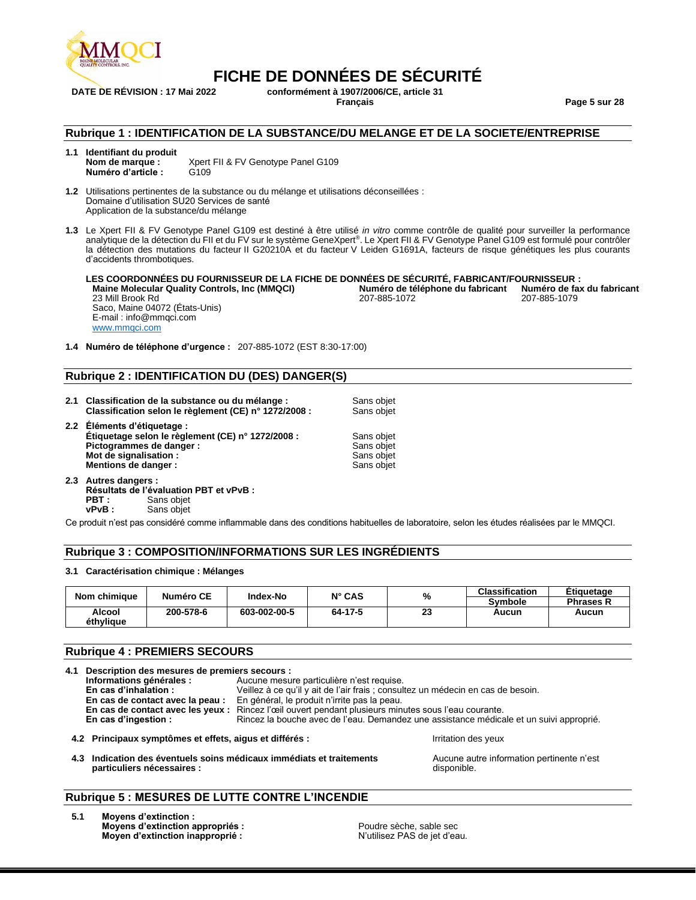

**DATE DE RÉVISION : 17 Mai 2022 conformément à 1907/2006/CE, article 31 Français Page 5 sur 28**

#### **Rubrique 1 : IDENTIFICATION DE LA SUBSTANCE/DU MELANGE ET DE LA SOCIETE/ENTREPRISE**

- **1.1 Identifiant du produit** Xpert FII & FV Genotype Panel G109 **Numéro d'article :** G109
- **1.2** Utilisations pertinentes de la substance ou du mélange et utilisations déconseillées : Domaine d'utilisation SU20 Services de santé Application de la substance/du mélange
- **1.3** Le Xpert FII & FV Genotype Panel G109 est destiné à être utilisé *in vitro* comme contrôle de qualité pour surveiller la performance analytique de la détection du FII et du FV sur le système GeneXpert®. Le Xpert FII & FV Genotype Panel G109 est formulé pour contrôler la détection des mutations du facteur II G20210A et du facteur V Leiden G1691A, facteurs de risque génétiques les plus courants d'accidents thrombotiques.

**LES COORDONNÉES DU FOURNISSEUR DE LA FICHE DE DONNÉES DE SÉCURITÉ, FABRICANT/FOURNISSEUR : Maine Molecular Quality Controls, Inc (MMQCI) Numéro de té**<br>
23 Mill Brook Rd<br>
207-885-1072 23 Mill Brook Rd Saco, Maine 04072 (États-Unis) E-mail : info@mmqci.com [www.mmqci.com](http://www.mmqci.com/) 207-885-1079

**1.4 Numéro de téléphone d'urgence :** 207-885-1072 (EST 8:30-17:00)

#### **Rubrique 2 : IDENTIFICATION DU (DES) DANGER(S)**

**2.1 Classification de la substance ou du mélange :** Sans objet Classification selon le règlement (CE) n° 1272/2008 : Sans objet **Classification selon le règlement (CE) n° 1272/2008 : 2.2 Éléments d'étiquetage : Étiquetage selon le règlement (CE) n° 1272/2008 :** Sans objet **Pictogrammes de danger :**<br> **Mot de signalisation :** Sans objet<br>
Sans objet **Mot de signalisation : The Sans of Sans objet<br>
<b>Mentions de danger :** Sans objet **Mentions de danger : 2.3 Autres dangers : Résultats de l'évaluation PBT et vPvB :**

Ce produit n'est pas considéré comme inflammable dans des conditions habituelles de laboratoire, selon les études réalisées par le MMQCI.

#### **Rubrique 3 : COMPOSITION/INFORMATIONS SUR LES INGRÉDIENTS**

**3.1 Caractérisation chimique : Mélanges**

**Sans objet** 

**PBT** : Sans objet<br> **vPvB** : Sans objet

| Nom chimique | Numéro CE | Index-No     | $N^{\circ}$ CAS | %         | <b>Classification</b> | Etiquetage       |
|--------------|-----------|--------------|-----------------|-----------|-----------------------|------------------|
|              |           |              |                 |           | Symbole               | <b>Phrases R</b> |
| Alcool       | 200-578-6 | 603-002-00-5 | 64-17-5         | nn.<br>دے | Aucun                 | Aucun            |
| éthvlique    |           |              |                 |           |                       |                  |

#### **Rubrique 4 : PREMIERS SECOURS**

| 4.1 | Description des mesures de premiers secours :<br>Informations générales :<br>En cas d'inhalation :<br>En cas de contact avec la peau :<br>En cas de contact avec les yeux :<br>En cas d'ingestion : | Aucune mesure particulière n'est requise.<br>Veillez à ce qu'il y ait de l'air frais ; consultez un médecin en cas de besoin.<br>En général, le produit n'irrite pas la peau.<br>Rincez l'œil ouvert pendant plusieurs minutes sous l'eau courante.<br>Rincez la bouche avec de l'eau. Demandez une assistance médicale et un suivi approprié. |                                                          |
|-----|-----------------------------------------------------------------------------------------------------------------------------------------------------------------------------------------------------|------------------------------------------------------------------------------------------------------------------------------------------------------------------------------------------------------------------------------------------------------------------------------------------------------------------------------------------------|----------------------------------------------------------|
|     | 4.2 Principaux symptômes et effets, aigus et différés :                                                                                                                                             |                                                                                                                                                                                                                                                                                                                                                | Irritation des yeux                                      |
|     | 4.3 Indication des éventuels soins médicaux immédiats et traitements<br>particuliers nécessaires :                                                                                                  |                                                                                                                                                                                                                                                                                                                                                | Aucune autre information pertinente n'est<br>disponible. |

#### **Rubrique 5 : MESURES DE LUTTE CONTRE L'INCENDIE**

**5.1 Moyens d'extinction : Moyens d'extinction appropriés : les produités du la produité du produit de la produité du produit de la produ<br><b>Moyen d'extinction inapproprié :** le produit de la produité d'était d'était d'était d'était d'était d'était d **Moyen d'extinction inapproprié :**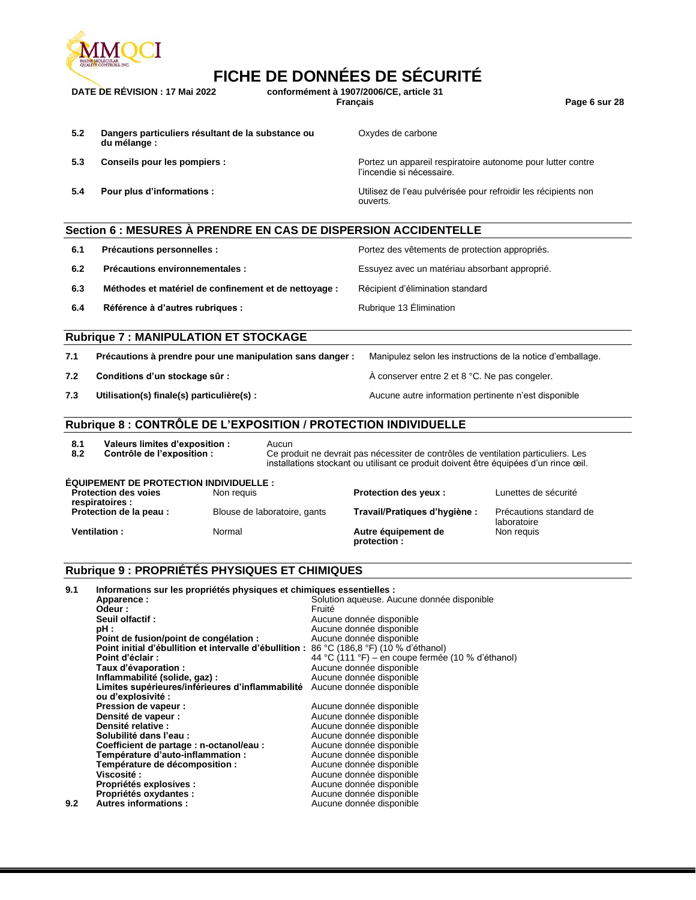

**DATE DE RÉVISION : 17 Mai 2022 conformément à 1907/2006/CE, article 31**

**Français Page 6 sur 28**

| 5.2 | Dangers particuliers résultant de la substance ou<br>du mélange : | Oxydes de carbone                                                                        |
|-----|-------------------------------------------------------------------|------------------------------------------------------------------------------------------|
| 5.3 | Conseils pour les pompiers :                                      | Portez un appareil respiratoire autonome pour lutter contre<br>l'incendie si nécessaire. |
| 5.4 | Pour plus d'informations :                                        | Utilisez de l'eau pulvérisée pour refroidir les récipients non<br>ouverts.               |
|     | Section 6 : MESURES À PRENDRE EN CAS DE DISPERSION ACCIDENTELLE   |                                                                                          |
| 6.1 | Précautions personnelles :                                        | Portez des vêtements de protection appropriés.                                           |
| 6.2 | Précautions environnementales :                                   | Essuyez avec un matériau absorbant approprié.                                            |
| 6.3 | Méthodes et matériel de confinement et de nettoyage :             | Récipient d'élimination standard                                                         |
| 6.4 | Référence à d'autres rubriques :                                  | Rubrique 13 Elimination                                                                  |
|     | <b>Rubrique 7 : MANIPULATION ET STOCKAGE</b>                      |                                                                                          |

# **7.1 Précautions à prendre pour une manipulation sans danger :** Manipulez selon les instructions de la notice d'emballage. **7.2 Conditions d'un stockage sûr :** À conserver entre 2 et 8 °C. Ne pas congeler. **7.3 Utilisation(s) finale(s) particulière(s) :** Aucune autre information pertinente n'est disponible

#### **Rubrique 8 : CONTRÔLE DE L'EXPOSITION / PROTECTION INDIVIDUELLE**

| 8.1<br>8.2          | Valeurs limites d'exposition :<br>Aucun<br>Contrôle de l'exposition :         |                              | Ce produit ne devrait pas nécessiter de contrôles de ventilation particuliers. Les<br>installations stockant ou utilisant ce produit doivent être équipées d'un rince ceil. |                                        |  |
|---------------------|-------------------------------------------------------------------------------|------------------------------|-----------------------------------------------------------------------------------------------------------------------------------------------------------------------------|----------------------------------------|--|
|                     | <b>ÉQUIPEMENT DE PROTECTION INDIVIDUELLE :</b><br><b>Protection des voies</b> | Non reguis                   | <b>Protection des yeux:</b>                                                                                                                                                 | Lunettes de sécurité                   |  |
| respiratoires :     |                                                                               |                              |                                                                                                                                                                             |                                        |  |
|                     | Protection de la peau :                                                       | Blouse de laboratoire, gants | Travail/Pratiques d'hygiène :                                                                                                                                               | Précautions standard de<br>laboratoire |  |
| <b>Ventilation:</b> |                                                                               | Normal                       | Autre équipement de<br>protection:                                                                                                                                          | Non requis                             |  |

#### **Rubrique 9 : PROPRIÉTÉS PHYSIQUES ET CHIMIQUES**

| 9.1 | Informations sur les propriétés physiques et chimiques essentielles :                            |                                                   |
|-----|--------------------------------------------------------------------------------------------------|---------------------------------------------------|
|     | Apparence:                                                                                       | Solution aqueuse. Aucune donnée disponible        |
|     | Odeur :                                                                                          | Fruité                                            |
|     | Seuil olfactif:                                                                                  | Aucune donnée disponible                          |
|     | pH :                                                                                             | Aucune donnée disponible                          |
|     | Point de fusion/point de congélation :                                                           | Aucune donnée disponible                          |
|     | <b>Point initial d'ébullition et intervalle d'ébullition :</b> 86 °C (186,8 °F) (10 % d'éthanol) |                                                   |
|     | Point d'éclair :                                                                                 | 44 °C (111 °F) – en coupe fermée (10 % d'éthanol) |
|     | Taux d'évaporation :                                                                             | Aucune donnée disponible                          |
|     | Inflammabilité (solide, gaz) :                                                                   | Aucune donnée disponible                          |
|     | Limites supérieures/inférieures d'inflammabilité Aucune donnée disponible                        |                                                   |
|     | ou d'explosivité :                                                                               |                                                   |
|     | Pression de vapeur :                                                                             | Aucune donnée disponible                          |
|     | Densité de vapeur :                                                                              | Aucune donnée disponible                          |
|     | Densité relative :                                                                               | Aucune donnée disponible                          |
|     | Solubilité dans l'eau :                                                                          | Aucune donnée disponible                          |
|     | Coefficient de partage : n-octanol/eau :                                                         | Aucune donnée disponible                          |
|     | Température d'auto-inflammation :                                                                | Aucune donnée disponible                          |
|     | Température de décomposition :                                                                   | Aucune donnée disponible                          |
|     | <b>Viscosité :</b>                                                                               | Aucune donnée disponible                          |
|     | Propriétés explosives :                                                                          | Aucune donnée disponible                          |
|     | Propriétés oxydantes :                                                                           | Aucune donnée disponible                          |
| 9.2 | <b>Autres informations:</b>                                                                      | Aucune donnée disponible                          |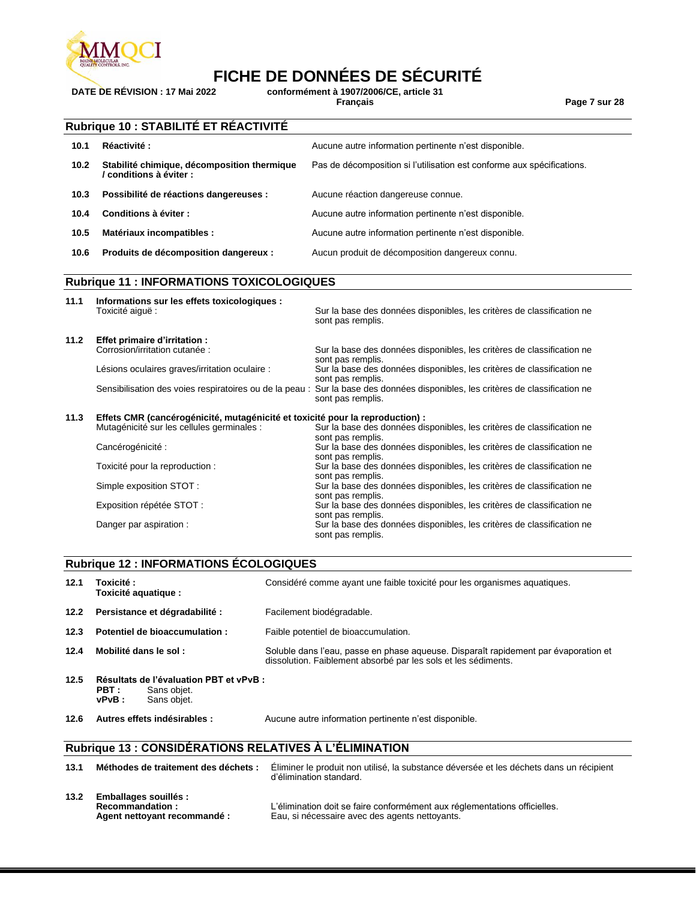

**DATE DE RÉVISION : 17 Mai 2022 conformément à 1907/2006/CE, article 31**

**Français Page 7 sur 28**

### **Rubrique 10 : STABILITÉ ET RÉACTIVITÉ**

| 10.1                                             | Réactivité:                                                            | Aucune autre information pertinente n'est disponible.                                       |  |  |
|--------------------------------------------------|------------------------------------------------------------------------|---------------------------------------------------------------------------------------------|--|--|
| 10.2 <sub>1</sub>                                | Stabilité chimique, décomposition thermique<br>/ conditions à éviter : | Pas de décomposition si l'utilisation est conforme aux spécifications.                      |  |  |
| 10.3                                             | Possibilité de réactions dangereuses :                                 | Aucune réaction dangereuse connue.                                                          |  |  |
| 10.4                                             | Conditions à éviter :                                                  | Aucune autre information pertinente n'est disponible.                                       |  |  |
| 10.5                                             | Matériaux incompatibles :                                              | Aucune autre information pertinente n'est disponible.                                       |  |  |
| 10.6                                             | Produits de décomposition dangereux :                                  | Aucun produit de décomposition dangereux connu.                                             |  |  |
| <b>Rubrique 11 : INFORMATIONS TOXICOLOGIQUES</b> |                                                                        |                                                                                             |  |  |
| 11.1                                             | Informations sur les effets toxicologiques :<br>Toxicité aiquë:        | Sur la base des données disponibles, les critères de classification ne<br>sont pas remplis. |  |  |

sont pas remplis.

sont pas remplis.

sont pas remplis.

Sur la base des données disponibles, les critères de classification ne

**11.2 Effet primaire d'irritation :**

Lésions oculaires graves/irritation oculaire : Sur la base des données disponibles, les critères de classification ne

Sensibilisation des voies respiratoires ou de la peau : Sur la base des données disponibles, les critères de classification ne

#### **11.3 Effets CMR (cancérogénicité, mutagénicité et toxicité pour la reproduction) :**

| Mutagénicité sur les cellules germinales : | Sur la base des données disponibles, les critères de classification ne                                           |
|--------------------------------------------|------------------------------------------------------------------------------------------------------------------|
| Cancérogénicité :                          | sont pas remplis.<br>Sur la base des données disponibles, les critères de classification ne<br>sont pas remplis. |
| Toxicité pour la reproduction :            | Sur la base des données disponibles, les critères de classification ne<br>sont pas remplis.                      |
| Simple exposition STOT:                    | Sur la base des données disponibles, les critères de classification ne<br>sont pas remplis.                      |
| Exposition répétée STOT :                  | Sur la base des données disponibles, les critères de classification ne<br>sont pas remplis.                      |
| Danger par aspiration :                    | Sur la base des données disponibles, les critères de classification ne<br>sont pas remplis.                      |

#### **Rubrique 12 : INFORMATIONS ÉCOLOGIQUES**

| 12.1                                                          | Toxicité :<br>Toxicité aquatique :                                                      | Considéré comme ayant une faible toxicité pour les organismes aquatiques.                                                                             |  |
|---------------------------------------------------------------|-----------------------------------------------------------------------------------------|-------------------------------------------------------------------------------------------------------------------------------------------------------|--|
| 12.2                                                          | Persistance et dégradabilité :                                                          | Facilement biodégradable.                                                                                                                             |  |
| 12.3                                                          | Potentiel de bioaccumulation :                                                          | Faible potentiel de bioaccumulation.                                                                                                                  |  |
| 12.4                                                          | Mobilité dans le sol :                                                                  | Soluble dans l'eau, passe en phase aqueuse. Disparaît rapidement par évaporation et<br>dissolution. Faiblement absorbé par les sols et les sédiments. |  |
| 12.5                                                          | Résultats de l'évaluation PBT et vPvB :<br>PBT :<br>Sans objet.<br>Sans obiet.<br>vPvB: |                                                                                                                                                       |  |
| 12.6                                                          | Autres effets indésirables :                                                            | Aucune autre information pertinente n'est disponible.                                                                                                 |  |
| <b>Rubrique 13 : CONSIDERATIONS RELATIVES À L'ÉLIMINATION</b> |                                                                                         |                                                                                                                                                       |  |

| 13.1 | Méthodes de traitement des déchets :                                           | Eliminer le produit non utilisé, la substance déversée et les déchets dans un récipient<br>d'élimination standard.          |
|------|--------------------------------------------------------------------------------|-----------------------------------------------------------------------------------------------------------------------------|
| 13.2 | <b>Emballages souillés:</b><br>Recommandation:<br>Agent nettoyant recommandé : | L'élimination doit se faire conformément aux réglementations officielles.<br>Eau, si nécessaire avec des agents nettoyants. |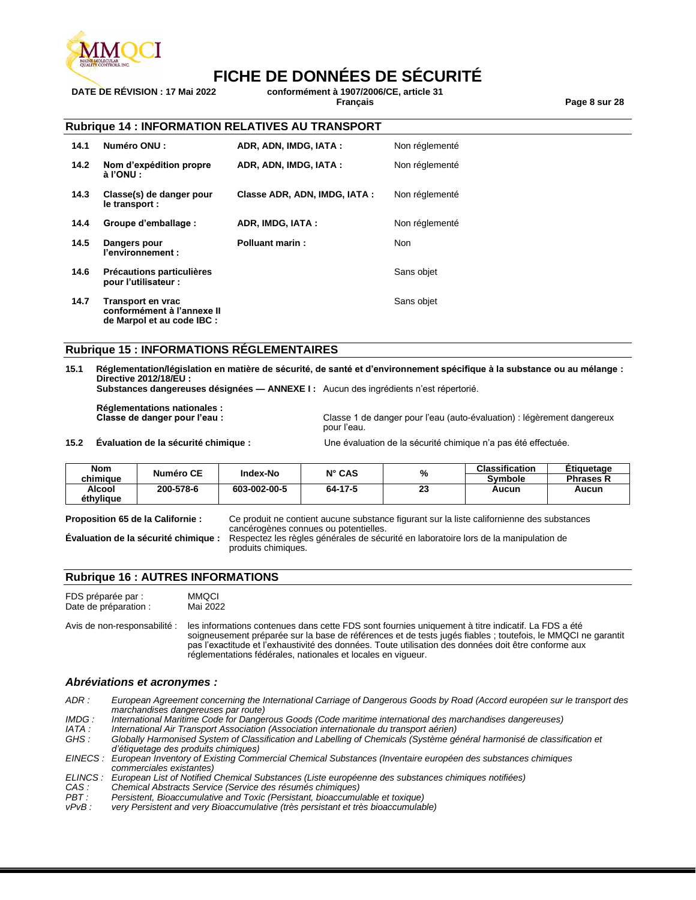

**DATE DE RÉVISION : 17 Mai 2022 conformément à 1907/2006/CE, article 31 Français Page 8 sur 28**

#### **Rubrique 14 : INFORMATION RELATIVES AU TRANSPORT**

| 14.1 | Numéro ONU :                                                                  | ADR, ADN, IMDG, IATA:        | Non réglementé |
|------|-------------------------------------------------------------------------------|------------------------------|----------------|
| 14.2 | Nom d'expédition propre<br>à l'ONU :                                          | ADR, ADN, IMDG, IATA:        | Non réglementé |
| 14.3 | Classe(s) de danger pour<br>le transport :                                    | Classe ADR, ADN, IMDG, IATA: | Non réglementé |
| 14.4 | Groupe d'emballage :                                                          | ADR, IMDG, IATA:             | Non réglementé |
| 14.5 | Dangers pour<br>l'environnement :                                             | Polluant marin:              | <b>Non</b>     |
| 14.6 | Précautions particulières<br>pour l'utilisateur :                             |                              | Sans objet     |
| 14.7 | Transport en vrac<br>conformément à l'annexe II<br>de Marpol et au code IBC : |                              | Sans objet     |

#### **Rubrique 15 : INFORMATIONS RÉGLEMENTAIRES**

**15.1 Réglementation/législation en matière de sécurité, de santé et d'environnement spécifique à la substance ou au mélange : Directive 2012/18/EU :**

**Substances dangereuses désignées — ANNEXE I :** Aucun des ingrédients n'est répertorié.

**Réglementations nationales :**

Classe 1 de danger pour l'eau (auto-évaluation) : légèrement dangereux pour l'eau.

**15.2 Évaluation de la sécurité chimique :** Une évaluation de la sécurité chimique n'a pas été effectuée.

| <b>Nom</b> | <b>Numéro CE</b> | <b>Index-No</b> | $N^{\circ}$ CAS | %        | <b>Classification</b> | Etiauetaae       |
|------------|------------------|-----------------|-----------------|----------|-----------------------|------------------|
| chimiaue   |                  |                 |                 |          | Svmbole               | <b>Phrases R</b> |
| Alcool     | 200-578-6        | 603-002-00-5    | 64-17-5         | ng<br>23 | Aucun                 | Aucun            |
| éthylique  |                  |                 |                 |          |                       |                  |

**Proposition 65 de la Californie :** Ce produit ne contient aucune substance figurant sur la liste californienne des substances cancérogènes connues ou potentielles. **Évaluation de la sécurité chimique :** Respectez les règles générales de sécurité en laboratoire lors de la manipulation de produits chimiques.

#### **Rubrique 16 : AUTRES INFORMATIONS**

| FDS préparée par :    | <b>MMQCI</b> |
|-----------------------|--------------|
| Date de préparation : | Mai 2022     |

Avis de non-responsabilité : les informations contenues dans cette FDS sont fournies uniquement à titre indicatif. La FDS a été soigneusement préparée sur la base de références et de tests jugés fiables ; toutefois, le MMQCI ne garantit pas l'exactitude et l'exhaustivité des données. Toute utilisation des données doit être conforme aux réglementations fédérales, nationales et locales en vigueur.

#### *Abréviations et acronymes :*

*ADR : European Agreement concerning the International Carriage of Dangerous Goods by Road (Accord européen sur le transport des marchandises dangereuses par route)*

*IMDG : International Maritime Code for Dangerous Goods (Code maritime international des marchandises dangereuses)*

*IATA : International Air Transport Association (Association internationale du transport aérien)*

Globally Harmonised System of Classification and Labelling of Chemicals (Système général harmonisé de classification et *d'étiquetage des produits chimiques)*

*EINECS : European Inventory of Existing Commercial Chemical Substances (Inventaire européen des substances chimiques commerciales existantes)*

*ELINCS : European List of Notified Chemical Substances (Liste européenne des substances chimiques notifiées)*

- *CAS : Chemical Abstracts Service (Service des résumés chimiques)*
- *PBT : Persistent, Bioaccumulative and Toxic (Persistant, bioaccumulable et toxique)*

very Persistent and very Bioaccumulative (très persistant et très bioaccumulable)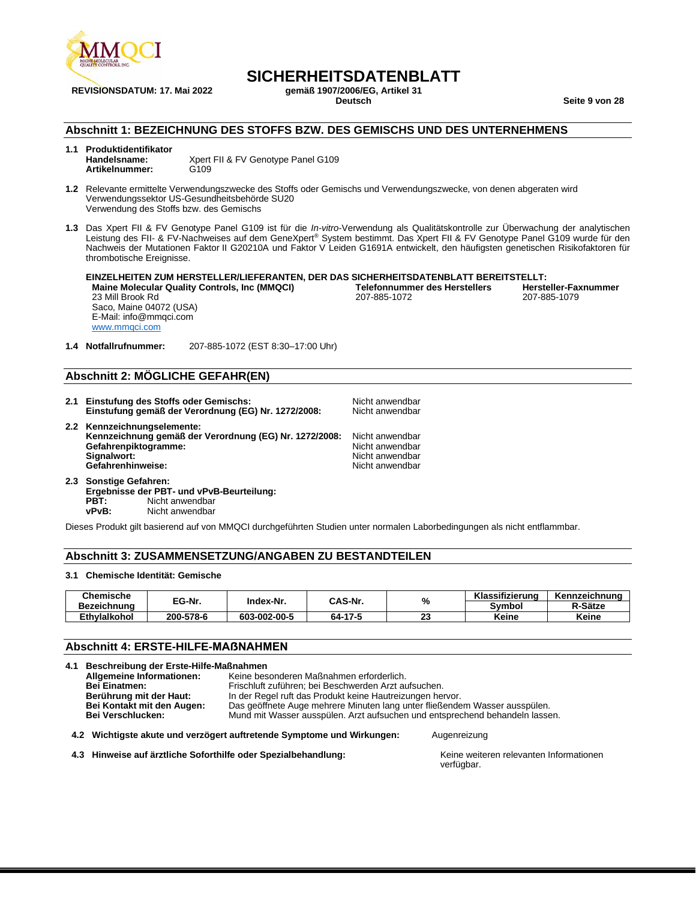

**REVISIONSDATUM: 17. Mai 2022 gemäß 1907/2006/EG, Artikel 31**

# **SICHERHEITSDATENBLATT**<br><sub>Gemäß</sub> 1907/2006/EG. Artikel 31

**Deutsch Seite 9 von 28**

#### **Abschnitt 1: BEZEICHNUNG DES STOFFS BZW. DES GEMISCHS UND DES UNTERNEHMENS**

- **1.1 Produktidentifikator Handelsname:** Xpert FII & FV Genotype Panel G109 Artikelnummer:
- **1.2** Relevante ermittelte Verwendungszwecke des Stoffs oder Gemischs und Verwendungszwecke, von denen abgeraten wird Verwendungssektor US-Gesundheitsbehörde SU20 Verwendung des Stoffs bzw. des Gemischs
- **1.3** Das Xpert FII & FV Genotype Panel G109 ist für die *In-vitro*-Verwendung als Qualitätskontrolle zur Überwachung der analytischen Leistung des FII- & FV-Nachweises auf dem GeneXpert® System bestimmt. Das Xpert FII & FV Genotype Panel G109 wurde für den Nachweis der Mutationen Faktor II G20210A und Faktor V Leiden G1691A entwickelt, den häufigsten genetischen Risikofaktoren für thrombotische Ereignisse.

**EINZELHEITEN ZUM HERSTELLER/LIEFERANTEN, DER DAS SICHERHEITSDATENBLATT BEREITSTELLT: Maine Molecular Quality Controls, Inc (MMQCI) Telefonnummer des Herstellers Hersteller-Fax**<br>207-885-1079 **Property** 207-885-1079 23 Mill Brook Rd Saco, Maine 04072 (USA) E-Mail: info@mmqci.com [www.mmqci.com](http://www.mmqci.com/) 207-885-1072

**1.4 Notfallrufnummer:** 207-885-1072 (EST 8:30–17:00 Uhr)

#### **Abschnitt 2: MÖGLICHE GEFAHR(EN)**

- **2.1 Einstufung des Stoffs oder Gemischs:** Nicht anwendbar Einstufung gemäß der Verordnung (EG) Nr. 1272/2008: **2.2 Kennzeichnungselemente: Kennzeichnung gemäß der Verordnung (EG) Nr. 1272/2008:** Nicht anwendbar **Gefahrenpiktogramme:** Nicht anwendbar<br> **Signalwort:** Nicht anwendbar<br>
Nicht anwendbar Gefahrenhinweise:
- **2.3 Sonstige Gefahren: Ergebnisse der PBT- und vPvB-Beurteilung: PBT:** Nicht anwendbar<br> **vPvB:** Nicht anwendbar **Nicht anwendbar**

Dieses Produkt gilt basierend auf von MMQCI durchgeführten Studien unter normalen Laborbedingungen als nicht entflammbar.

#### **Abschnitt 3: ZUSAMMENSETZUNG/ANGABEN ZU BESTANDTEILEN**

#### **3.1 Chemische Identität: Gemische**

| Chemische    | EG-Nr.    | CAS-Nr.<br>Index-Nr. |                | %        | Klassifizierung | Kennzeichnung |
|--------------|-----------|----------------------|----------------|----------|-----------------|---------------|
| Bezeichnung  |           |                      |                | Symbol   | R-Sätze         |               |
| Ethylalkohol | 200-578-6 | 603-002-00-5         | -17-5<br>64- I | n.<br>-- | Keine           | Keine         |

#### **Abschnitt 4: ERSTE-HILFE-MAẞNAHMEN**

**4.1 Beschreibung der Erste-Hilfe-Maßnahmen Allgemeine Informationen:** Keine besonderen Maßnahmen erforderlich. **Bei Einatmen:** Frischluft zuführen; bei Beschwerden Arzt aufsuchen. **Berührung mit der Haut:** In der Regel ruft das Produkt keine Hautreizungen hervor. **Bei Kontakt mit den Augen:** Das geöffnete Auge mehrere Minuten lang unter fließendem Wasser ausspülen. **Bei Verschlucken:** Mund mit Wasser ausspülen. Arzt aufsuchen und entsprechend behandeln lassen.

**4.2 Wichtigste akute und verzögert auftretende Symptome und Wirkungen:** Augenreizung

4.3 **Hinweise auf ärztliche Soforthilfe oder Spezialbehandlung:** Keine weiteren relevanten Informationen

verfügbar.

Nicht anwendbar<br>Nicht anwendbar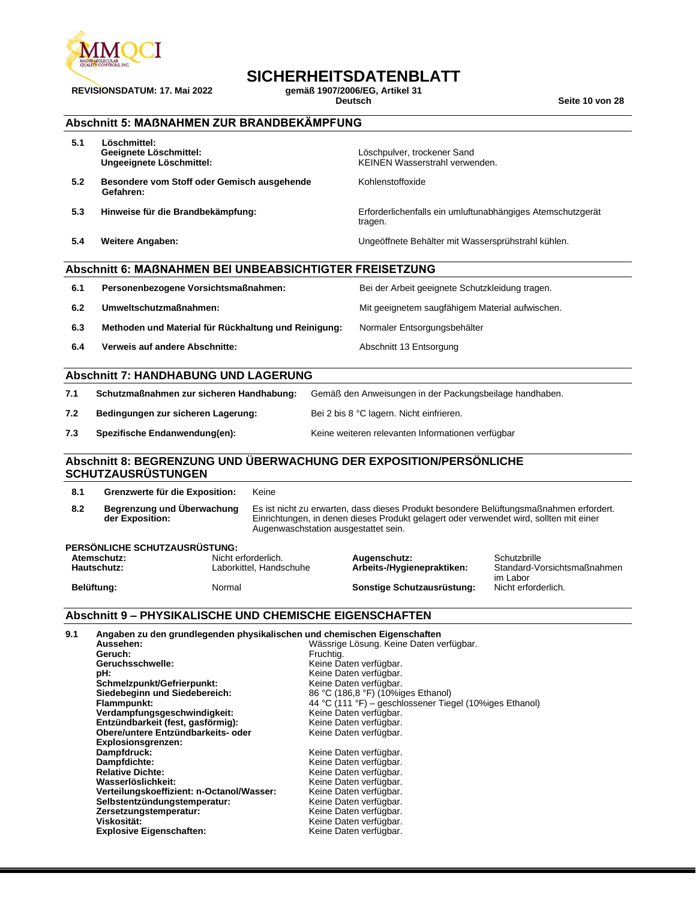

# **REVISIONSDATUM: 17. Mai 2022 gemäß 1907/2006/EG, Artikel 31**

# **SICHERHEITSDATENBLATT**

**Seite 10 von 28** 

| 5.1 | Löschmittel:<br>Geeignete Löschmittel:<br>Ungeeignete Löschmittel: | Löschpulver, trockener Sand<br>KEINEN Wasserstrahl verwenden.         |
|-----|--------------------------------------------------------------------|-----------------------------------------------------------------------|
| 5.2 | Besondere vom Stoff oder Gemisch ausgehende<br>Gefahren:           | Kohlenstoffoxide                                                      |
| 5.3 | Hinweise für die Brandbekämpfung:                                  | Erforderlichenfalls ein umluftunabhängiges Atemschutzgerät<br>tragen. |
| 5.4 | <b>Weitere Angaben:</b>                                            | Ungeöffnete Behälter mit Wassersprühstrahl kühlen.                    |
|     | Abschnitt 6: MAßNAHMEN BEI UNBEABSICHTIGTER FREISETZUNG            |                                                                       |
| 6.1 | Personenbezogene Vorsichtsmaßnahmen:                               | Bei der Arbeit geeignete Schutzkleidung tragen.                       |
|     | .                                                                  |                                                                       |

**6.2** Umweltschutzmaßnahmen: Mit geeignetem saugfähigem Material aufwischen. **6.3 Methoden und Material für Rückhaltung und Reinigung:** Normaler Entsorgungsbehälter **6.4 Verweis auf andere Abschnitte:** Abschnitt 13 Entsorgung

#### **Abschnitt 7: HANDHABUNG UND LAGERUNG**

| 7.1 | Schutzmaßnahmen zur sicheren Handhabung: | Gemäß den Anweisungen in der Packungsbeilage handhaben. |
|-----|------------------------------------------|---------------------------------------------------------|
| 7.2 | Bedingungen zur sicheren Lagerung:       | Bei 2 bis 8 °C lagern. Nicht einfrieren.                |
| 7.3 | Spezifische Endanwendung(en):            | Keine weiteren relevanten Informationen verfügbar       |

#### **Abschnitt 8: BEGRENZUNG UND ÜBERWACHUNG DER EXPOSITION/PERSÖNLICHE SCHUTZAUSRÜSTUNGEN**

| 8.1                                                  | <b>Grenzwerte für die Exposition:</b> |                     | Keine                                                                                                                                                                                                                    |                            |                                         |  |
|------------------------------------------------------|---------------------------------------|---------------------|--------------------------------------------------------------------------------------------------------------------------------------------------------------------------------------------------------------------------|----------------------------|-----------------------------------------|--|
| Begrenzung und Überwachung<br>8.2<br>der Exposition: |                                       |                     | Es ist nicht zu erwarten, dass dieses Produkt besondere Belüftungsmaßnahmen erfordert.<br>Einrichtungen, in denen dieses Produkt gelagert oder verwendet wird, sollten mit einer<br>Augenwaschstation ausgestattet sein. |                            |                                         |  |
|                                                      | PERSÖNLICHE SCHUTZAUSRÜSTUNG:         |                     |                                                                                                                                                                                                                          |                            |                                         |  |
|                                                      | Atemschutz:                           | Nicht erforderlich. |                                                                                                                                                                                                                          | Augenschutz:               | Schutzbrille                            |  |
|                                                      | Hautschutz:                           |                     | Laborkittel, Handschuhe                                                                                                                                                                                                  | Arbeits-/Hygienepraktiken: | Standard-Vorsichtsmaßnahmen<br>im Labor |  |
| Belüftuna:<br>Normal                                 |                                       |                     | Sonstige Schutzausrüstung:                                                                                                                                                                                               | Nicht erforderlich.        |                                         |  |

#### **Abschnitt 9 – PHYSIKALISCHE UND CHEMISCHE EIGENSCHAFTEN**

| 9.1 | Angaben zu den grundlegenden physikalischen und chemischen Eigenschaften |                                                         |
|-----|--------------------------------------------------------------------------|---------------------------------------------------------|
|     | Aussehen:                                                                | Wässrige Lösung. Keine Daten verfügbar.                 |
|     | Geruch:                                                                  | Fruchtig.                                               |
|     | Geruchsschwelle:                                                         | Keine Daten verfügbar.                                  |
|     | pH:                                                                      | Keine Daten verfügbar.                                  |
|     | Schmelzpunkt/Gefrierpunkt:                                               | Keine Daten verfügbar.                                  |
|     | Siedebeginn und Siedebereich:                                            | 86 °C (186,8 °F) (10%iges Ethanol)                      |
|     | Flammpunkt:                                                              | 44 °C (111 °F) – geschlossener Tiegel (10%iges Ethanol) |
|     | Verdampfungsgeschwindigkeit:                                             | Keine Daten verfügbar.                                  |
|     | Entzündbarkeit (fest, gasförmig):                                        | Keine Daten verfügbar.                                  |
|     | Obere/untere Entzündbarkeits- oder                                       | Keine Daten verfügbar.                                  |
|     | Explosionsgrenzen:                                                       |                                                         |
|     | Dampfdruck:                                                              | Keine Daten verfügbar.                                  |
|     | Dampfdichte:                                                             | Keine Daten verfügbar.                                  |
|     | <b>Relative Dichte:</b>                                                  | Keine Daten verfügbar.                                  |
|     | Wasserlöslichkeit:                                                       | Keine Daten verfügbar.                                  |
|     | Verteilungskoeffizient: n-Octanol/Wasser:                                | Keine Daten verfügbar.                                  |
|     | Selbstentzündungstemperatur:                                             | Keine Daten verfügbar.                                  |
|     | Zersetzungstemperatur:                                                   | Keine Daten verfügbar.                                  |
|     | Viskosität:                                                              | Keine Daten verfügbar.                                  |
|     | <b>Explosive Eigenschaften:</b>                                          | Keine Daten verfügbar.                                  |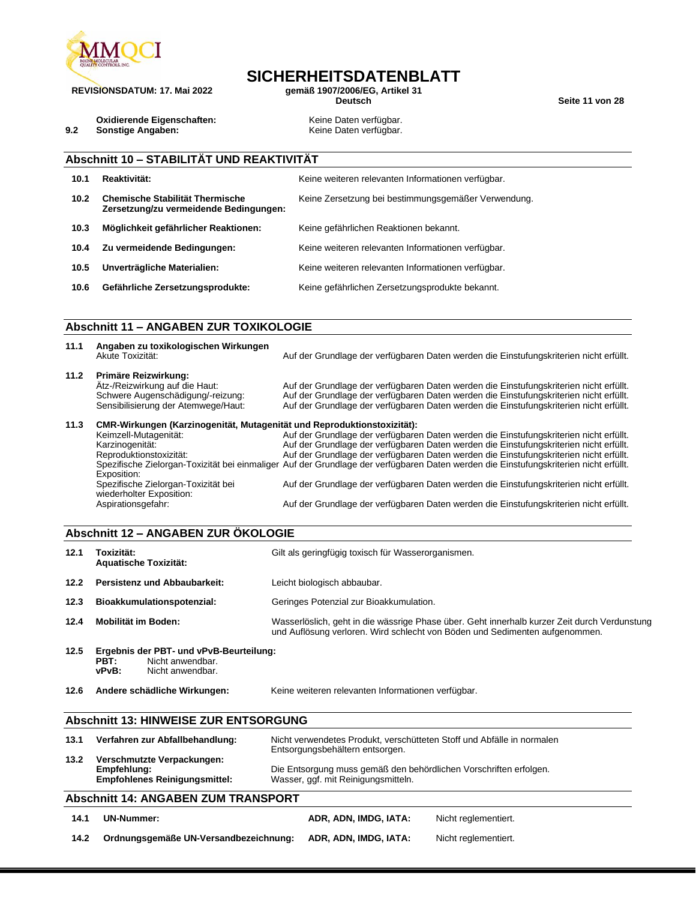

Oxidierende Eigenschaften: Keine Daten verfügbar.

# **SICHERHEITSDATENBLATT**

**REVISIONSDATUM: 17. Mai 2022 gemäß 1907/2006/EG, Artikel 31**

**Deutsch Seite 11 von 28**

**9.2 Sonstige Angaben: Constignation Constitute Constitute Angle Server And Archives Archives Angle Server Archives Archives Archives Archives Archives Archives Archives Archives Archives Archives Archives Archives Archi** 

#### **Abschnitt 10 – STABILITÄT UND REAKTIVITÄT**

| 10.1 | Reaktivität:                                                                     | Keine weiteren relevanten Informationen verfügbar.  |
|------|----------------------------------------------------------------------------------|-----------------------------------------------------|
| 10.2 | <b>Chemische Stabilität Thermische</b><br>Zersetzung/zu vermeidende Bedingungen: | Keine Zersetzung bei bestimmungsgemäßer Verwendung. |
| 10.3 | Möglichkeit gefährlicher Reaktionen:                                             | Keine gefährlichen Reaktionen bekannt.              |
| 10.4 | Zu vermeidende Bedingungen:                                                      | Keine weiteren relevanten Informationen verfügbar.  |
| 10.5 | Unverträgliche Materialien:                                                      | Keine weiteren relevanten Informationen verfügbar.  |
| 10.6 | Gefährliche Zersetzungsprodukte:                                                 | Keine gefährlichen Zersetzungsprodukte bekannt.     |

#### **Abschnitt 11 – ANGABEN ZUR TOXIKOLOGIE**

| 11.1 | Angaben zu toxikologischen Wirkungen<br>Akute Toxizität:                                                                           | Auf der Grundlage der verfügbaren Daten werden die Einstufungskriterien nicht erfüllt.                                                                                                                                                                                                                                                                                                                              |
|------|------------------------------------------------------------------------------------------------------------------------------------|---------------------------------------------------------------------------------------------------------------------------------------------------------------------------------------------------------------------------------------------------------------------------------------------------------------------------------------------------------------------------------------------------------------------|
| 11.2 | Primäre Reizwirkung:<br>Ätz-/Reizwirkung auf die Haut:<br>Schwere Augenschädigung/-reizung:<br>Sensibilisierung der Atemwege/Haut: | Auf der Grundlage der verfügbaren Daten werden die Einstufungskriterien nicht erfüllt.<br>Auf der Grundlage der verfügbaren Daten werden die Einstufungskriterien nicht erfüllt.<br>Auf der Grundlage der verfügbaren Daten werden die Einstufungskriterien nicht erfüllt.                                                                                                                                          |
| 11.3 | CMR-Wirkungen (Karzinogenität, Mutagenität und Reproduktionstoxizität):                                                            |                                                                                                                                                                                                                                                                                                                                                                                                                     |
|      | Keimzell-Mutagenität:<br>Karzinogenität:<br>Reproduktionstoxizität:                                                                | Auf der Grundlage der verfügbaren Daten werden die Einstufungskriterien nicht erfüllt.<br>Auf der Grundlage der verfügbaren Daten werden die Einstufungskriterien nicht erfüllt.<br>Auf der Grundlage der verfügbaren Daten werden die Einstufungskriterien nicht erfüllt.<br>Spezifische Zielorgan-Toxizität bei einmaliger Auf der Grundlage der verfügbaren Daten werden die Einstufungskriterien nicht erfüllt. |
|      | Exposition:<br>Spezifische Zielorgan-Toxizität bei<br>wiederholter Exposition:                                                     | Auf der Grundlage der verfügbaren Daten werden die Einstufungskriterien nicht erfüllt.                                                                                                                                                                                                                                                                                                                              |
|      | Aspirationsgefahr:                                                                                                                 | Auf der Grundlage der verfügbaren Daten werden die Einstufungskriterien nicht erfüllt.                                                                                                                                                                                                                                                                                                                              |

#### **Abschnitt 12 – ANGABEN ZUR ÖKOLOGIE**

| 12.1 | Toxizität:<br><b>Aquatische Toxizität:</b>                                                       | Gilt als geringfügig toxisch für Wasserorganismen.                                                                                                                          |  |
|------|--------------------------------------------------------------------------------------------------|-----------------------------------------------------------------------------------------------------------------------------------------------------------------------------|--|
| 12.2 | Persistenz und Abbaubarkeit:                                                                     | Leicht biologisch abbaubar.                                                                                                                                                 |  |
| 12.3 | Bioakkumulationspotenzial:                                                                       | Geringes Potenzial zur Bioakkumulation.                                                                                                                                     |  |
| 12.4 | Mobilität im Boden:                                                                              | Wasserlöslich, geht in die wässrige Phase über. Geht innerhalb kurzer Zeit durch Verdunstung<br>und Auflösung verloren. Wird schlecht von Böden und Sedimenten aufgenommen. |  |
| 12.5 | Ergebnis der PBT- und vPvB-Beurteilung:<br>PBT:<br>Nicht anwendbar.<br>Nicht anwendbar.<br>vPvB: |                                                                                                                                                                             |  |
| 12.6 | Andere schädliche Wirkungen:                                                                     | Keine weiteren relevanten Informationen verfügbar.                                                                                                                          |  |
|      | <b>Abschnitt 13: HINWEISE ZUR ENTSORGUNG</b>                                                     |                                                                                                                                                                             |  |
| 13.1 | Verfahren zur Abfallbehandlung:                                                                  | Nicht verwendetes Produkt, verschütteten Stoff und Abfälle in normalen<br>Entsorgungsbehältern entsorgen.                                                                   |  |
| 13.2 | Verschmutzte Verpackungen:<br>Empfehlung:<br><b>Empfohlenes Reinigungsmittel:</b>                | Die Entsorgung muss gemäß den behördlichen Vorschriften erfolgen.<br>Wasser, ggf. mit Reinigungsmitteln.                                                                    |  |
|      | <b>Abschnitt 14: ANGABEN ZUM TRANSPORT</b>                                                       |                                                                                                                                                                             |  |
| 14.1 | <b>UN-Nummer:</b>                                                                                | ADR, ADN, IMDG, IATA:<br>Nicht reglementiert.                                                                                                                               |  |
| 14.2 | Ordnungsgemäße UN-Versandbezeichnung:                                                            | ADR, ADN, IMDG, IATA:<br>Nicht reglementiert.                                                                                                                               |  |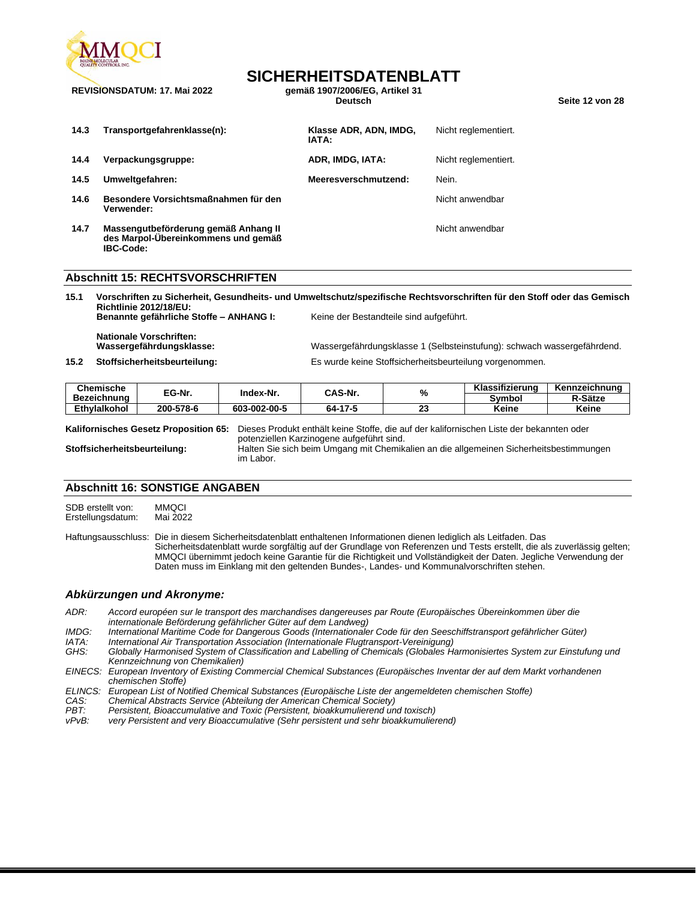

**REVISIONSDATUM: 17. Mai 2022 gemäß 1907/2006/EG, Artikel 31**

# **SICHERHEITSDATENBLATT**<br><sub>Gemäß</sub> 1907/2006/EG. Artikel 31

**Deutsch Seite 12 von 28**

| 14.3 | Transportgefahrenklasse(n):                                                              | Klasse ADR, ADN, IMDG,<br>IATA: | Nicht reglementiert. |
|------|------------------------------------------------------------------------------------------|---------------------------------|----------------------|
| 14.4 | Verpackungsgruppe:                                                                       | ADR, IMDG, IATA:                | Nicht reglementiert. |
| 14.5 | Umweltgefahren:                                                                          | Meeresverschmutzend:            | Nein.                |
| 14.6 | Besondere Vorsichtsmaßnahmen für den<br>Verwender:                                       |                                 | Nicht anwendbar      |
| 14.7 | Massengutbeförderung gemäß Anhang II<br>des Marpol-Übereinkommens und gemäß<br>IBC-Code: |                                 | Nicht anwendbar      |

#### **Abschnitt 15: RECHTSVORSCHRIFTEN**

**15.1 Vorschriften zu Sicherheit, Gesundheits- und Umweltschutz/spezifische Rechtsvorschriften für den Stoff oder das Gemisch Richtlinie 2012/18/EU: Benannte gefährliche Stoffe – ANHANG I:** Keine der Bestandteile sind aufgeführt.

**Nationale Vorschriften:**

Wassergefährdungsklasse 1 (Selbsteinstufung): schwach wassergefährdend.

**15.2 Stoffsicherheitsbeurteilung:** Es wurde keine Stoffsicherheitsbeurteilung vorgenommen.

**Chemische Bezeichnung EG-Nr. Index-Nr. CAS-Nr. % Klassifizierung Kennzeichnung Symbol R-Sätze Ethylalkohol 200-578-6 603-002-00-5 64-17-5 23 Keine Keine**

**Kalifornisches Gesetz Proposition 65:** Dieses Produkt enthält keine Stoffe, die auf der kalifornischen Liste der bekannten oder potenziellen Karzinogene aufgeführt sind.

**Stoffsicherheitsbeurteilung:** Halten Sie sich beim Umgang mit Chemikalien an die allgemeinen Sicherheitsbestimmungen im Labor.

#### **Abschnitt 16: SONSTIGE ANGABEN**

SDB erstellt von: MMQCI<br>Frstellungsdatum: Mai 2022 Erstellungsdatum:

Haftungsausschluss: Die in diesem Sicherheitsdatenblatt enthaltenen Informationen dienen lediglich als Leitfaden. Das Sicherheitsdatenblatt wurde sorgfältig auf der Grundlage von Referenzen und Tests erstellt, die als zuverlässig gelten; MMQCI übernimmt jedoch keine Garantie für die Richtigkeit und Vollständigkeit der Daten. Jegliche Verwendung der Daten muss im Einklang mit den geltenden Bundes-, Landes- und Kommunalvorschriften stehen.

#### *Abkürzungen und Akronyme:*

*ADR: Accord européen sur le transport des marchandises dangereuses par Route (Europäisches Übereinkommen über die internationale Beförderung gefährlicher Güter auf dem Landweg)*

- *IMDG: International Maritime Code for Dangerous Goods (Internationaler Code für den Seeschiffstransport gefährlicher Güter)*
- *IATA: International Air Transportation Association (Internationale Flugtransport-Vereinigung) GHS: Globally Harmonised System of Classification and Labelling of Chemicals (Globales Harmonisiertes System zur Einstufung und Kennzeichnung von Chemikalien)*

*EINECS: European Inventory of Existing Commercial Chemical Substances (Europäisches Inventar der auf dem Markt vorhandenen chemischen Stoffe)*

- *ELINCS: European List of Notified Chemical Substances (Europäische Liste der angemeldeten chemischen Stoffe)*
- *CAS: Chemical Abstracts Service (Abteilung der American Chemical Society)*
- *PBT: Persistent, Bioaccumulative and Toxic (Persistent, bioakkumulierend und toxisch)*
- *vPvB: very Persistent and very Bioaccumulative (Sehr persistent und sehr bioakkumulierend)*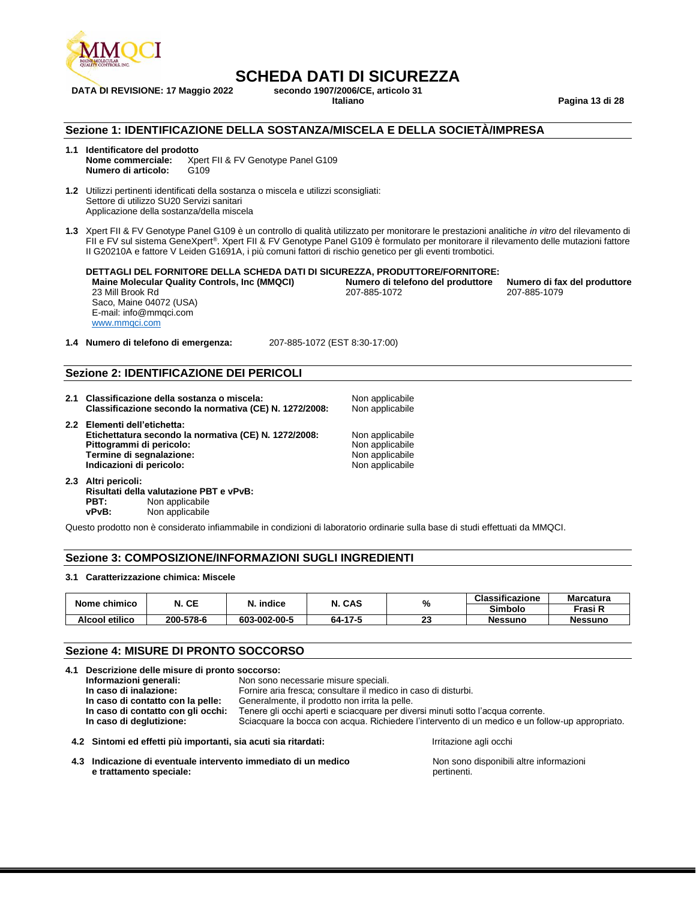

# **SCHEDA DATI DI SICUREZZA**<br>secondo 1907/2006/CE. articolo 31

**DATA DI REVISIONE: 17 Maggio 2022 secondo 1907/2006/CE, articolo 31**

**Italiano Pagina 13 di 28**

#### **Sezione 1: IDENTIFICAZIONE DELLA SOSTANZA/MISCELA E DELLA SOCIETÀ/IMPRESA**

- **1.1 Identificatore del prodotto Nome commerciale:** Xpert FII & FV Genotype Panel G109 **Numero di articolo:** G109
- **1.2** Utilizzi pertinenti identificati della sostanza o miscela e utilizzi sconsigliati: Settore di utilizzo SU20 Servizi sanitari Applicazione della sostanza/della miscela
- **1.3** Xpert FII & FV Genotype Panel G109 è un controllo di qualità utilizzato per monitorare le prestazioni analitiche *in vitro* del rilevamento di FII e FV sul sistema GeneXpert®. Xpert FII & FV Genotype Panel G109 è formulato per monitorare il rilevamento delle mutazioni fattore II G20210A e fattore V Leiden G1691A, i più comuni fattori di rischio genetico per gli eventi trombotici.

**DETTAGLI DEL FORNITORE DELLA SCHEDA DATI DI SICUREZZA, PRODUTTORE/FORNITORE:**

23 Mill Brook Rd Saco, Maine 04072 (USA) E-mail: info@mmqci.com [www.mmqci.com](http://www.mmqci.com/)

**Maine Molecular Quality Controls, Inc (MMQCI) Numero di telefono del produttore Numero di fax del produttore** 207-885-1072 207-885-1079

**1.4 Numero di telefono di emergenza:** 207-885-1072 (EST 8:30-17:00)

#### **Sezione 2: IDENTIFICAZIONE DEI PERICOLI**

- **2.1 Classificazione della sostanza o miscela:** Non applicabile **Classificazione secondo la normativa (CE) N. 1272/2008:** Non applicabile
- **2.2 Elementi dell'etichetta: Etichettatura secondo la normativa (CE) N. 1272/2008:** Non applicabile<br>**Pittogrammi di pericolo:** Non applicabile **Pittogrammi di pericolo:** Termine di segnalazione: Non applicabile **Indicazioni di pericolo:** Non applicabile
- **2.3 Altri pericoli: Risultati della valutazione PBT e vPvB: PBT:** Non applicabile<br> **VPVB:** Non applicabile Non applicabile

Questo prodotto non è considerato infiammabile in condizioni di laboratorio ordinarie sulla base di studi effettuati da MMQCI.

#### **Sezione 3: COMPOSIZIONE/INFORMAZIONI SUGLI INGREDIENTI**

#### **3.1 Caratterizzazione chimica: Miscele**

| Nome chimico   | N. CE     | N. indice    | . CAS   | %         | <b>Classificazione</b> | <b>Marcatura</b> |
|----------------|-----------|--------------|---------|-----------|------------------------|------------------|
|                |           |              |         |           | <b>Simbolo</b>         | Frasi R          |
| Alcool etilico | 200-578-6 | 603-002-00-5 | 64-17-5 | nn.<br>20 | <b>Nessuno</b>         | <b>Nessuno</b>   |

#### **Sezione 4: MISURE DI PRONTO SOCCORSO**

| 4.1 | Descrizione delle misure di pronto soccorso:<br>Informazioni generali: | Non sono necessarie misure speciali.           |                                                                                                 |  |
|-----|------------------------------------------------------------------------|------------------------------------------------|-------------------------------------------------------------------------------------------------|--|
|     | In caso di inalazione:                                                 |                                                | Fornire aria fresca; consultare il medico in caso di disturbi.                                  |  |
|     | In caso di contatto con la pelle:                                      | Generalmente, il prodotto non irrita la pelle. |                                                                                                 |  |
|     | In caso di contatto con gli occhi:                                     |                                                | Tenere gli occhi aperti e sciacquare per diversi minuti sotto l'acqua corrente.                 |  |
|     | In caso di deglutizione:                                               |                                                | Sciacquare la bocca con acqua. Richiedere l'intervento di un medico e un follow-up appropriato. |  |
|     | 4.2 Sintomi ed effetti più importanti, sia acuti sia ritardati:        |                                                | Irritazione agli occhi                                                                          |  |

**4.3 Indicazione di eventuale intervento immediato di un medico e trattamento speciale:**

Non sono disponibili altre informazioni pertinenti.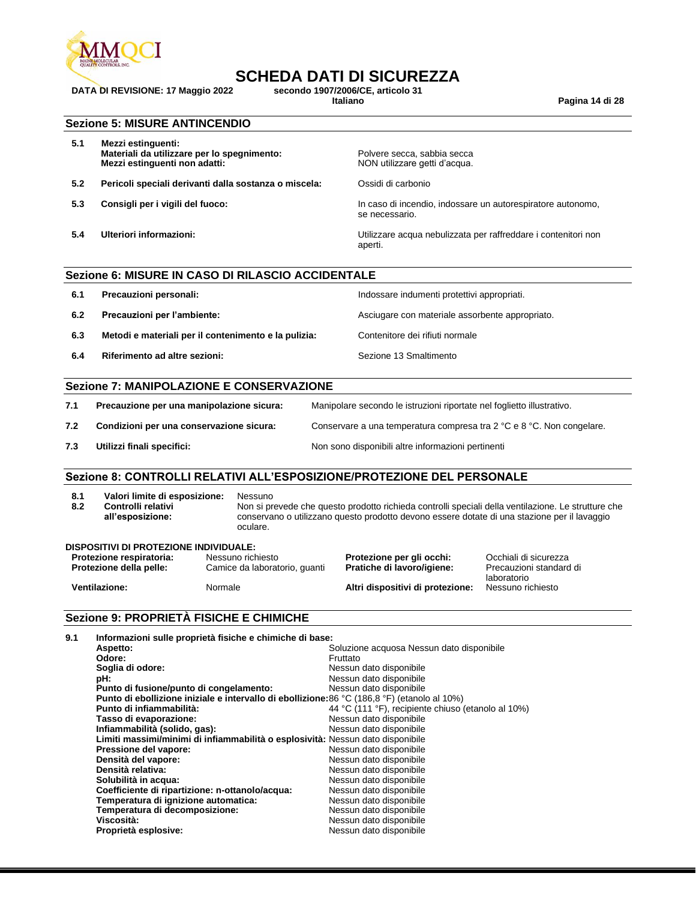

# **SCHEDA DATI DI SICUREZZA**<br>secondo 1907/2006/CE. articolo 31

DATA DI REVISIONE: 17 Maggio 2022 **secondo 1907/2006/C**<br>Italiano

**Italiano Pagina 14 di 28**

#### **Sezione 5: MISURE ANTINCENDIO**

| 5.1 | Mezzi estinguenti:                          |
|-----|---------------------------------------------|
|     | Materiali da utilizzare per lo spegnimento: |
|     | Mezzi estinguenti non adatti:               |

- **5.2 Pericoli speciali derivanti dalla sostanza o miscela:** Ossidi di carbonio
- 
- 

#### Polvere secca, sabbia secca **NON utilizzare getti d'acqua.**

**5.3 Consigli per i vigili del fuoco:** In caso di incendio, indossare un autorespiratore autonomo, se necessario.

**5.4 Ulteriori informazioni:** Utilizzare acqua nebulizzata per raffreddare i contenitori non aperti.

#### **Sezione 6: MISURE IN CASO DI RILASCIO ACCIDENTALE**

| 6.1 | Precauzioni personali:                               | Indossare indumenti protettivi appropriati.     |
|-----|------------------------------------------------------|-------------------------------------------------|
| 6.2 | Precauzioni per l'ambiente:                          | Asciugare con materiale assorbente appropriato. |
| 6.3 | Metodi e materiali per il contenimento e la pulizia: | Contenitore dei rifiuti normale                 |
| 6.4 | Riferimento ad altre sezioni:                        | Sezione 13 Smaltimento                          |
|     |                                                      |                                                 |

#### **Sezione 7: MANIPOLAZIONE E CONSERVAZIONE**

| 7.1 | Precauzione per una manipolazione sicura: | Manipolare secondo le istruzioni riportate nel foglietto illustrativo. |
|-----|-------------------------------------------|------------------------------------------------------------------------|
| 7.2 | Condizioni per una conservazione sicura:  | Conservare a una temperatura compresa tra 2 °C e 8 °C. Non congelare.  |
| 7.3 | Utilizzi finali specifici:                | Non sono disponibili altre informazioni pertinenti                     |

#### **Sezione 8: CONTROLLI RELATIVI ALL'ESPOSIZIONE/PROTEZIONE DEL PERSONALE**

| 8.1<br>8.2 | Valori limite di esposizione:<br>Controlli relativi<br>all'esposizione: | Nessuno<br>oculare.           | Non si prevede che questo prodotto richieda controlli speciali della ventilazione. Le strutture che<br>conservano o utilizzano questo prodotto devono essere dotate di una stazione per il lavaggio |                         |
|------------|-------------------------------------------------------------------------|-------------------------------|-----------------------------------------------------------------------------------------------------------------------------------------------------------------------------------------------------|-------------------------|
|            | DISPOSITIVI DI PROTEZIONE INDIVIDUALE:                                  |                               |                                                                                                                                                                                                     |                         |
|            | Protezione respiratoria:                                                | Nessuno richiesto             | Protezione per gli occhi:                                                                                                                                                                           | Occhiali di sicurezza   |
|            | Protezione della pelle:                                                 | Camice da laboratorio, quanti | Pratiche di lavoro/igiene:                                                                                                                                                                          | Precauzioni standard di |

**Ventilazione: Normale** *Altri dispositivi di protezione***: Altri dispositivi di protezione:** 

laboratorio<br>Nessuno richiesto

#### **Sezione 9: PROPRIETÀ FISICHE E CHIMICHE**

| 9.1 | Informazioni sulle proprietà fisiche e chimiche di base:                                    |                                                    |
|-----|---------------------------------------------------------------------------------------------|----------------------------------------------------|
|     | Aspetto:                                                                                    | Soluzione acquosa Nessun dato disponibile          |
|     | Odore:                                                                                      | Fruttato                                           |
|     | Soglia di odore:                                                                            | Nessun dato disponibile                            |
|     | pH:                                                                                         | Nessun dato disponibile                            |
|     | Punto di fusione/punto di congelamento:                                                     | Nessun dato disponibile                            |
|     | Punto di ebollizione iniziale e intervallo di ebollizione:86 °C (186,8 °F) (etanolo al 10%) |                                                    |
|     | Punto di infiammabilità:                                                                    | 44 °C (111 °F), recipiente chiuso (etanolo al 10%) |
|     | Tasso di evaporazione:                                                                      | Nessun dato disponibile                            |
|     | Infiammabilità (solido, gas):                                                               | Nessun dato disponibile                            |
|     | Limiti massimi/minimi di infiammabilità o esplosività: Nessun dato disponibile              |                                                    |
|     | Pressione del vapore:                                                                       | Nessun dato disponibile                            |
|     | Densità del vapore:                                                                         | Nessun dato disponibile                            |
|     | Densità relativa:                                                                           | Nessun dato disponibile                            |
|     | Solubilità in acqua:                                                                        | Nessun dato disponibile                            |
|     | Coefficiente di ripartizione: n-ottanolo/acqua:                                             | Nessun dato disponibile                            |
|     | Temperatura di ignizione automatica:                                                        | Nessun dato disponibile                            |
|     | Temperatura di decomposizione:                                                              | Nessun dato disponibile                            |
|     | Viscosità:                                                                                  | Nessun dato disponibile                            |
|     | Proprietà esplosive:                                                                        | Nessun dato disponibile                            |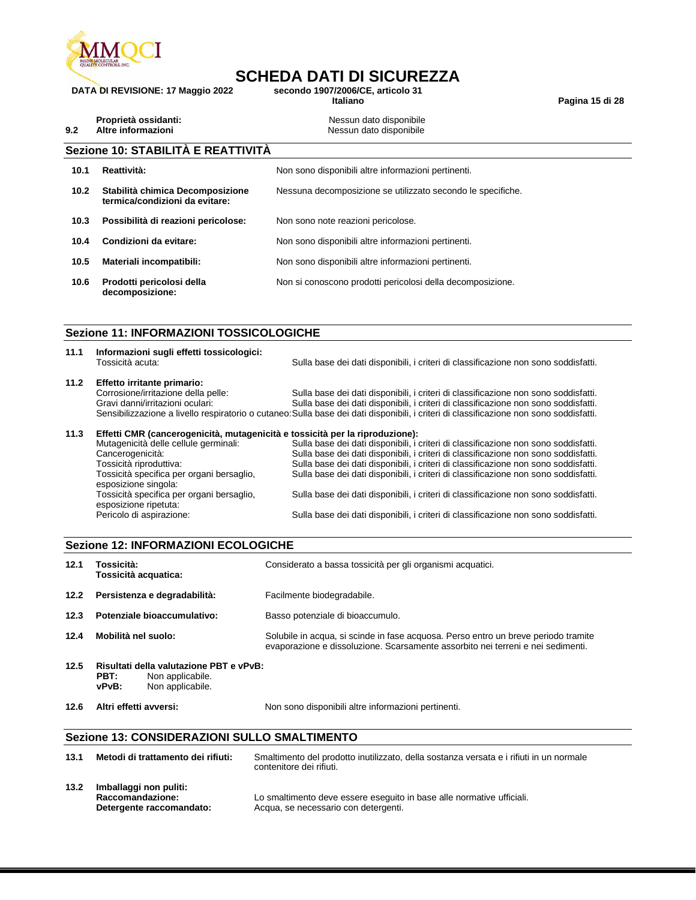

# **SCHEDA DATI DI SICUREZZA**<br>secondo 1907/2006/CE, articolo 31

DATA DI REVISIONE: 17 Maggio 2022 **secondo 1907/2006/C**<br>Italiano

**Italiano Pagina 15 di 28**

**9.2 Altre informazioni Nessun dato disponibile** 

**Proprietà ossidanti:** Nessun dato disponibile<br> **Altre informazioni**<br>
Nessun dato disponibile<br>
Nessun dato disponibile

|      | Sezione 10: STABILITÀ E REATTIVITÀ                                 |                                                             |  |  |
|------|--------------------------------------------------------------------|-------------------------------------------------------------|--|--|
| 10.1 | Reattività:                                                        | Non sono disponibili altre informazioni pertinenti.         |  |  |
| 10.2 | Stabilità chimica Decomposizione<br>termica/condizioni da evitare: | Nessuna decomposizione se utilizzato secondo le specifiche. |  |  |
| 10.3 | Possibilità di reazioni pericolose:                                | Non sono note reazioni pericolose.                          |  |  |
| 10.4 | Condizioni da evitare:                                             | Non sono disponibili altre informazioni pertinenti.         |  |  |
| 10.5 | Materiali incompatibili:                                           | Non sono disponibili altre informazioni pertinenti.         |  |  |
| 10.6 | Prodotti pericolosi della<br>decomposizione:                       | Non si conoscono prodotti pericolosi della decomposizione.  |  |  |

#### **Sezione 11: INFORMAZIONI TOSSICOLOGICHE**

| 11.1 | Informazioni sugli effetti tossicologici:<br>Tossicità acuta:                                                                                                                                                                                                                                                   | Sulla base dei dati disponibili, i criteri di classificazione non sono soddisfatti.                                                                                                                                                                                                                                                                                                                                                             |
|------|-----------------------------------------------------------------------------------------------------------------------------------------------------------------------------------------------------------------------------------------------------------------------------------------------------------------|-------------------------------------------------------------------------------------------------------------------------------------------------------------------------------------------------------------------------------------------------------------------------------------------------------------------------------------------------------------------------------------------------------------------------------------------------|
| 11.2 | Effetto irritante primario:<br>Corrosione/irritazione della pelle:<br>Gravi danni/irritazioni oculari:                                                                                                                                                                                                          | Sulla base dei dati disponibili, i criteri di classificazione non sono soddisfatti.<br>Sulla base dei dati disponibili, i criteri di classificazione non sono soddisfatti.<br>Sensibilizzazione a livello respiratorio o cutaneo: Sulla base dei dati disponibili, i criteri di classificazione non sono soddisfatti.                                                                                                                           |
| 11.3 | Effetti CMR (cancerogenicità, mutagenicità e tossicità per la riproduzione):<br>Mutagenicità delle cellule germinali:<br>Cancerogenicità:<br>Tossicità riproduttiva:<br>Tossicità specifica per organi bersaglio,<br>esposizione singola:<br>Tossicità specifica per organi bersaglio,<br>esposizione ripetuta: | Sulla base dei dati disponibili, i criteri di classificazione non sono soddisfatti.<br>Sulla base dei dati disponibili, i criteri di classificazione non sono soddisfatti.<br>Sulla base dei dati disponibili, i criteri di classificazione non sono soddisfatti.<br>Sulla base dei dati disponibili, i criteri di classificazione non sono soddisfatti.<br>Sulla base dei dati disponibili, i criteri di classificazione non sono soddisfatti. |

Pericolo di aspirazione: Sulla base dei dati disponibili, i criteri di classificazione non sono soddisfatti.

#### **Sezione 12: INFORMAZIONI ECOLOGICHE**

| 12.1 | Tossicità:<br>Tossicità acquatica:                                                               | Considerato a bassa tossicità per gli organismi acquatici.                                                                                                            |
|------|--------------------------------------------------------------------------------------------------|-----------------------------------------------------------------------------------------------------------------------------------------------------------------------|
| 12.2 | Persistenza e degradabilità:                                                                     | Facilmente biodegradabile.                                                                                                                                            |
| 12.3 | Potenziale bioaccumulativo:                                                                      | Basso potenziale di bioaccumulo.                                                                                                                                      |
| 12.4 | Mobilità nel suolo:                                                                              | Solubile in acqua, si scinde in fase acquosa. Perso entro un breve periodo tramite<br>evaporazione e dissoluzione. Scarsamente assorbito nei terreni e nei sedimenti. |
| 12.5 | Risultati della valutazione PBT e vPvB:<br>PBT:<br>Non applicabile.<br>vPvB:<br>Non applicabile. |                                                                                                                                                                       |

**12.6 Altri effetti avversi:** Non sono disponibili altre informazioni pertinenti.

#### **Sezione 13: CONSIDERAZIONI SULLO SMALTIMENTO**

| 13.1 | Metodi di trattamento dei rifiuti:                                     | Smaltimento del prodotto inutilizzato, della sostanza versata e i rifiuti in un normale<br>contenitore dei rifiuti. |
|------|------------------------------------------------------------------------|---------------------------------------------------------------------------------------------------------------------|
| 13.2 | Imballaggi non puliti:<br>Raccomandazione:<br>Detergente raccomandato: | Lo smaltimento deve essere eseguito in base alle normative ufficiali.<br>Acqua, se necessario con detergenti.       |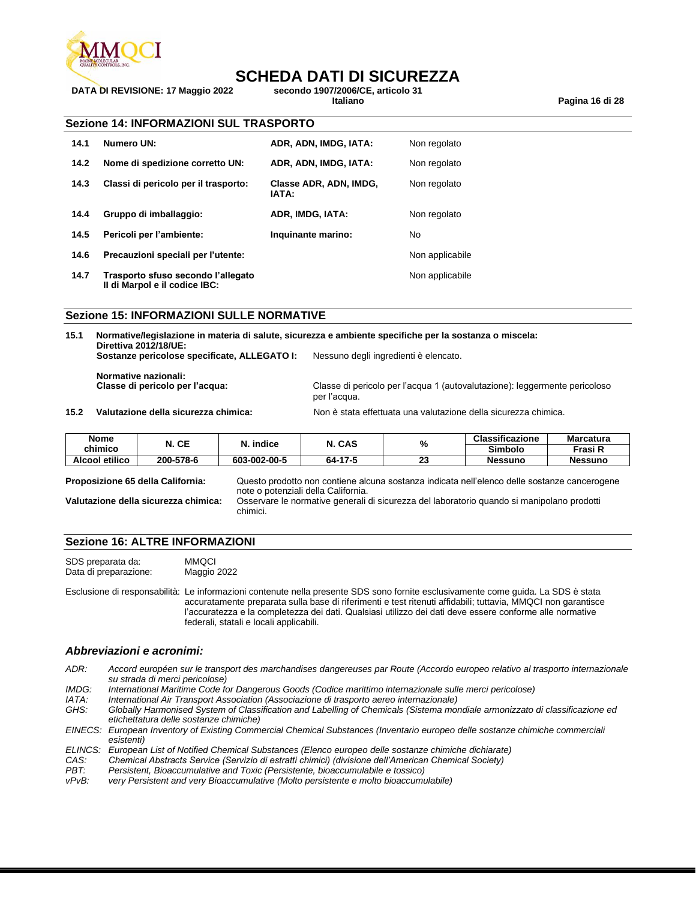

# **SCHEDA DATI DI SICUREZZA**<br>secondo 1907/2006/CE. articolo 31

**DATA DI REVISIONE: 17 Maggio 2022 secondo 1907/2006/CE, articolo 31**

**Italiano Pagina 16 di 28**

| <b>Sezione 14: INFORMAZIONI SUL TRASPORTO</b> |
|-----------------------------------------------|
|                                               |

| 14.1 | Numero UN:                                                          | ADR, ADN, IMDG, IATA:           | Non regolato    |
|------|---------------------------------------------------------------------|---------------------------------|-----------------|
| 14.2 | Nome di spedizione corretto UN:                                     | ADR, ADN, IMDG, IATA:           | Non regolato    |
| 14.3 | Classi di pericolo per il trasporto:                                | Classe ADR, ADN, IMDG,<br>IATA: | Non regolato    |
| 14.4 | Gruppo di imballaggio:                                              | ADR, IMDG, IATA:                | Non regolato    |
| 14.5 | Pericoli per l'ambiente:                                            | Inquinante marino:              | No              |
| 14.6 | Precauzioni speciali per l'utente:                                  |                                 | Non applicabile |
| 14.7 | Trasporto sfuso secondo l'allegato<br>Il di Marpol e il codice IBC: |                                 | Non applicabile |

#### **Sezione 15: INFORMAZIONI SULLE NORMATIVE**

| 15.1<br>Normative/legislazione in materia di salute, sicurezza e ambiente specifiche per la sostanza o miscela:<br>Direttiva 2012/18/UE: |                                                         |                                      |              |                                       |      |                                                                            |                             |
|------------------------------------------------------------------------------------------------------------------------------------------|---------------------------------------------------------|--------------------------------------|--------------|---------------------------------------|------|----------------------------------------------------------------------------|-----------------------------|
|                                                                                                                                          | Sostanze pericolose specificate, ALLEGATO I:            |                                      |              | Nessuno degli ingredienti è elencato. |      |                                                                            |                             |
|                                                                                                                                          | Normative nazionali:<br>Classe di pericolo per l'acqua: |                                      |              | per l'acqua.                          |      | Classe di pericolo per l'acqua 1 (autovalutazione): leggermente pericoloso |                             |
| 15.2                                                                                                                                     |                                                         | Valutazione della sicurezza chimica: |              |                                       |      | Non è stata effettuata una valutazione della sicurezza chimica.            |                             |
|                                                                                                                                          | Nome<br>chimico                                         | N. CE                                | N. indice    | N. CAS                                | $\%$ | <b>Classificazione</b><br><b>Simbolo</b>                                   | <b>Marcatura</b><br>Frasi R |
|                                                                                                                                          | Alcool etilico                                          | 200-578-6                            | 603-002-00-5 | 64-17-5                               | 23   | <b>Nessuno</b>                                                             | <b>Nessuno</b>              |

**Proposizione 65 della California:** Questo prodotto non contiene alcuna sostanza indicata nell'elenco delle sostanze cancerogene note o potenziali della California.

**Valutazione della sicurezza chimica:** Osservare le normative generali di sicurezza del laboratorio quando si manipolano prodotti chimici.

#### **Sezione 16: ALTRE INFORMAZIONI**

SDS preparata da: MMQCI<br>Data di preparazione: Maggio 2022 Data di preparazione:

Esclusione di responsabilità: Le informazioni contenute nella presente SDS sono fornite esclusivamente come guida. La SDS è stata accuratamente preparata sulla base di riferimenti e test ritenuti affidabili; tuttavia, MMQCI non garantisce l'accuratezza e la completezza dei dati. Qualsiasi utilizzo dei dati deve essere conforme alle normative federali, statali e locali applicabili.

#### *Abbreviazioni e acronimi:*

- *ADR: Accord européen sur le transport des marchandises dangereuses par Route (Accordo europeo relativo al trasporto internazionale su strada di merci pericolose)*
- *IMDG: International Maritime Code for Dangerous Goods (Codice marittimo internazionale sulle merci pericolose)*
- *IATA: International Air Transport Association (Associazione di trasporto aereo internazionale)*
- *GHS: Globally Harmonised System of Classification and Labelling of Chemicals (Sistema mondiale armonizzato di classificazione ed etichettatura delle sostanze chimiche)*
- *EINECS: European Inventory of Existing Commercial Chemical Substances (Inventario europeo delle sostanze chimiche commerciali esistenti)*
- *ELINCS: European List of Notified Chemical Substances (Elenco europeo delle sostanze chimiche dichiarate)*
- *CAS: Chemical Abstracts Service (Servizio di estratti chimici) (divisione dell'American Chemical Society)*
- *PBT: Persistent, Bioaccumulative and Toxic (Persistente, bioaccumulabile e tossico)*
- very Persistent and very Bioaccumulative (Molto persistente e molto bioaccumulabile)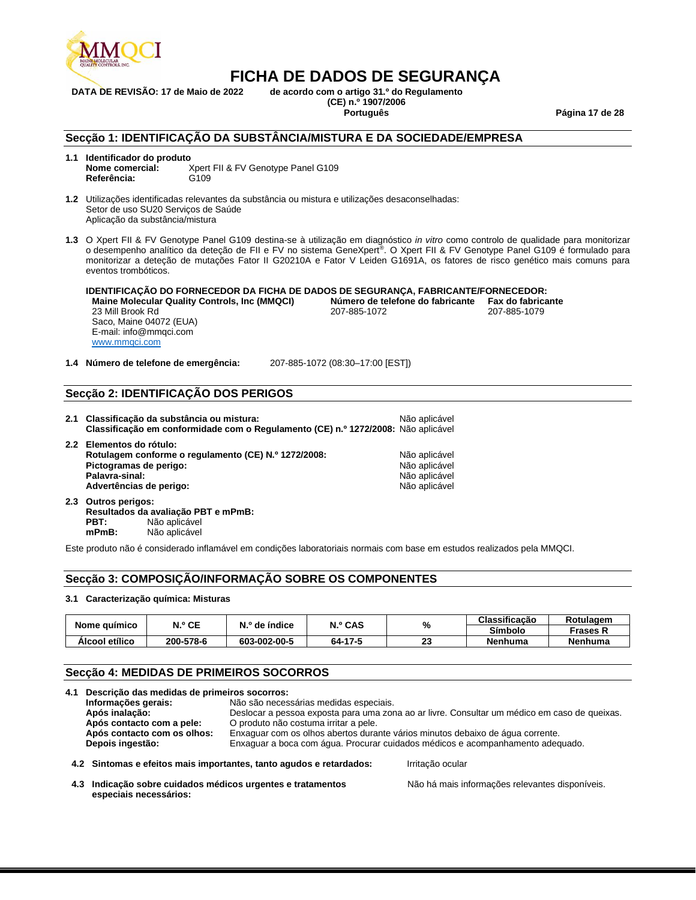

**DATA DE REVISÃO: 17 de Maio de 2022 de acordo com o artigo 31.º do Regulamento (CE) n.º 1907/2006 Português Página 17 de 28**

207-885-1079

#### **Secção 1: IDENTIFICAÇÃO DA SUBSTÂNCIA/MISTURA E DA SOCIEDADE/EMPRESA**

**1.1 Identificador do produto Nome comercial:** Xpert FII & FV Genotype Panel G109 **Referência:** G109

**1.2** Utilizações identificadas relevantes da substância ou mistura e utilizações desaconselhadas: Setor de uso SU20 Serviços de Saúde Aplicação da substância/mistura

**1.3** O Xpert FII & FV Genotype Panel G109 destina-se à utilização em diagnóstico *in vitro* como controlo de qualidade para monitorizar o desempenho analítico da deteção de FII e FV no sistema GeneXpert®. O Xpert FII & FV Genotype Panel G109 é formulado para monitorizar a deteção de mutações Fator II G20210A e Fator V Leiden G1691A, os fatores de risco genético mais comuns para eventos trombóticos.

**IDENTIFICAÇÃO DO FORNECEDOR DA FICHA DE DADOS DE SEGURANÇA, FABRICANTE/FORNECEDOR: Maine Molecular Quality Controls, Inc (MMQCI) Número de telefone do fabricante Fax do fabricante** 23 Mill Brook Rd Saco, Maine 04072 (EUA) E-mail: info@mmqci.com [www.mmqci.com](http://www.mmqci.com/)

**1.4 Número de telefone de emergência:** 207-885-1072 (08:30–17:00 [EST])

#### **Secção 2: IDENTIFICAÇÃO DOS PERIGOS**

| 2.1 Classificação da substância ou mistura:<br>Classificação em conformidade com o Regulamento (CE) n.º 1272/2008: Não aplicável                        | Não aplicável                                                    |
|---------------------------------------------------------------------------------------------------------------------------------------------------------|------------------------------------------------------------------|
| 2.2 Elementos do rótulo:<br>Rotulagem conforme o regulamento (CE) N.º 1272/2008:<br>Pictogramas de perigo:<br>Palavra-sinal:<br>Advertências de perigo: | Não aplicável<br>Não aplicável<br>Não aplicável<br>Não aplicável |
| 2.3 Outros perigos:                                                                                                                                     |                                                                  |

**Resultados da avaliação PBT e mPmB: PBT:** Não aplicável **mPmB:** Não aplicável

Este produto não é considerado inflamável em condições laboratoriais normais com base em estudos realizados pela MMQCI.

#### **Secção 3: COMPOSIÇÃO/INFORMAÇÃO SOBRE OS COMPONENTES**

#### **3.1 Caracterização química: Misturas**

| Nome guímico   | N.º CE    | N.º CAS<br>N.º de índice |         | %        | Classificação | Rotulagem       |
|----------------|-----------|--------------------------|---------|----------|---------------|-----------------|
|                |           |                          |         |          | Símbolo       | Frases <b>K</b> |
| Alcool etílico | 200-578-6 | 603-002-00-5             | 64-17-5 | າາ<br>20 | Nenhuma       | Nenhuma         |

#### **Secção 4: MEDIDAS DE PRIMEIROS SOCORROS**

|     | 4.1 Descrição das medidas de primeiros socorros:                                  |                                                                     |                                                                                              |
|-----|-----------------------------------------------------------------------------------|---------------------------------------------------------------------|----------------------------------------------------------------------------------------------|
|     | Informações gerais:                                                               | Não são necessárias medidas especiais.                              |                                                                                              |
|     | Após inalação:                                                                    |                                                                     | Deslocar a pessoa exposta para uma zona ao ar livre. Consultar um médico em caso de queixas. |
|     | Após contacto com a pele:                                                         | O produto não costuma irritar a pele.                               |                                                                                              |
|     | Após contacto com os olhos:                                                       |                                                                     | Enxaguar com os olhos abertos durante vários minutos debaixo de água corrente.               |
|     | Depois ingestão:                                                                  |                                                                     | Enxaguar a boca com água. Procurar cuidados médicos e acompanhamento adequado.               |
|     |                                                                                   | 4.2 Sintomas e efeitos mais importantes, tanto agudos e retardados: | Irritação ocular                                                                             |
| 4.3 | Indicação sobre cuidados médicos urgentes e tratamentos<br>especiais necessários: |                                                                     | Não há mais informações relevantes disponíveis.                                              |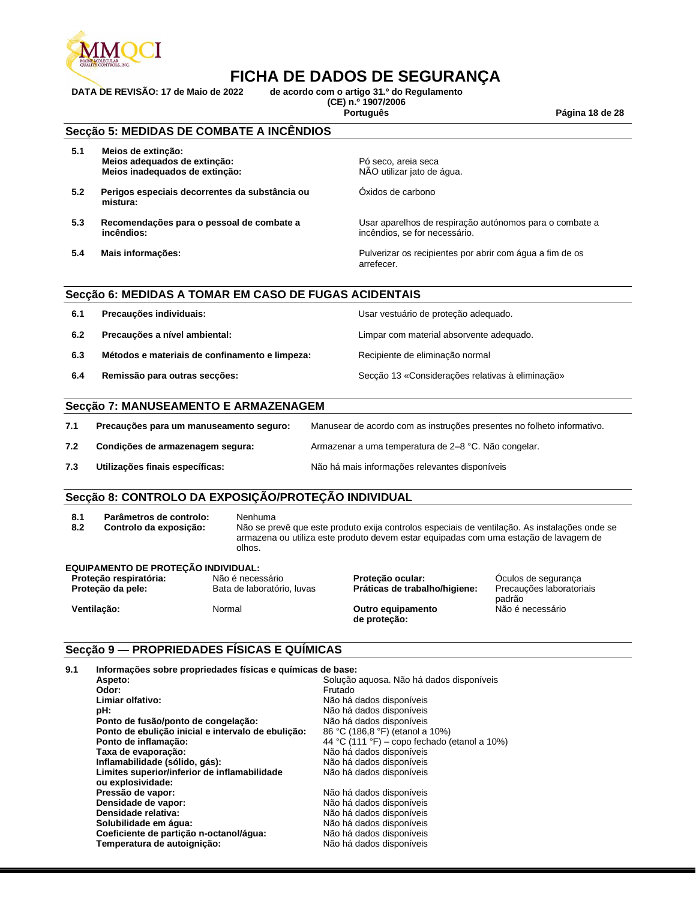

**DATA DE REVISÃO: 17 de Maio de 2022 de acordo com o artigo 31.º do Regulamento** 

**(CE) n.º 1907/2006**

**Português Página 18 de 28**

#### **Secção 5: MEDIDAS DE COMBATE A INCÊNDIOS**

- **5.1 Meios de extinção: Meios adequados de extinção:** Pó seco, areia seca<br> **Meios inadequados de extinção:** Portugal extinção: Pó ASO utilizar jato de água. **Meios inadequados de extinção:**
- **5.2 Perigos especiais decorrentes da substância ou mistura:**
- **5.3 Recomendações para o pessoal de combate a incêndios:**
- 

Óxidos de carbono

Usar aparelhos de respiração autónomos para o combate a incêndios, se for necessário.

**5.4 Mais informações:** Pulverizar os recipientes por abrir com água a fim de os arrefecer.

#### **Secção 6: MEDIDAS A TOMAR EM CASO DE FUGAS ACIDENTAIS**

| 6.1 | Precauções individuais:                        | Usar vestuário de proteção adequado.             |
|-----|------------------------------------------------|--------------------------------------------------|
| 6.2 | Precauções a nível ambiental:                  | Limpar com material absorvente adequado.         |
| 6.3 | Métodos e materiais de confinamento e limpeza: | Recipiente de eliminação normal                  |
| 6.4 | Remissão para outras secções:                  | Secção 13 «Considerações relativas à eliminação» |

#### **Secção 7: MANUSEAMENTO E ARMAZENAGEM**

| 7.1 | Precauções para um manuseamento seguro: | Manusear de acordo com as instruções presentes no folheto informativo. |
|-----|-----------------------------------------|------------------------------------------------------------------------|
| 7.2 | Condições de armazenagem segura:        | Armazenar a uma temperatura de 2-8 °C. Não congelar.                   |
| 7.3 | Utilizações finais específicas:         | Não há mais informações relevantes disponíveis                         |

#### **Secção 8: CONTROLO DA EXPOSIÇÃO/PROTEÇÃO INDIVIDUAL**

**8.1 Parâmetros de controlo:** Nenhuma **8.2 Controlo da exposição:** Não se prevê que este produto exija controlos especiais de ventilação. As instalações onde se armazena ou utiliza este produto devem estar equipadas com uma estação de lavagem de olhos. **EQUIPAMENTO DE PROTEÇÃO INDIVIDUAL:**

| EQUIPAMENTO DE PROTEÇÃO INDIVIDUAL: |                            |  |
|-------------------------------------|----------------------------|--|
| Proteção respiratória:              | Não é necessário           |  |
| Proteção da pele:                   | Bata de laboratório, luvas |  |
|                                     |                            |  |
| <b>Ventilacão:</b>                  | Normal                     |  |

**Proteção ocular:** Óculos de segurança<br>**Práticas de trabalho/higiene:** Precauções laboratoriais **Práticas de trabalho/higiene:** 

**Outro equipamento de proteção:**

padrão Não é necessário

#### **Secção 9 — PROPRIEDADES FÍSICAS E QUÍMICAS**

**9.1 Informações sobre propriedades físicas e químicas de base: Aspeto:** Solução aquosa. Não há dados disponíveis **Odor:** Frutado Limiar olfativo: **Limiar olfativo:** Não há dados disponíveis pH:<br> **Ponto de fusão/ponto de congelação:**<br>
Não há dados disponíveis Ponto de fusão/ponto de congelação: **Ponto de ebulição inicial e intervalo de ebulição:** 86 °C (186,8 °F) (etanol a 10%) **Ponto de inflamação:** 44 °C (111 °F) – copo fechado (etanol a 10%) Taxa de evaporação: **Não há dados disponíveis Inflamabilidade (sólido, gás):** Não há dados disponíveis **Limites superior/inferior de inflamabilidade ou explosividade:** Não há dados disponíveis **Pressão de vapor:** Não há dados disponíveis **Densidade de vapor:** Não há dados disponíveis **Densidade relativa:** Não há dados disponíveis<br> **Solubilidade em água:** Não há dados disponíveis Não há dados disponíveis **Coeficiente de partição n-octanol/água:** Não há dados disponíveis Temperatura de autoignição: Não há dados disponíveis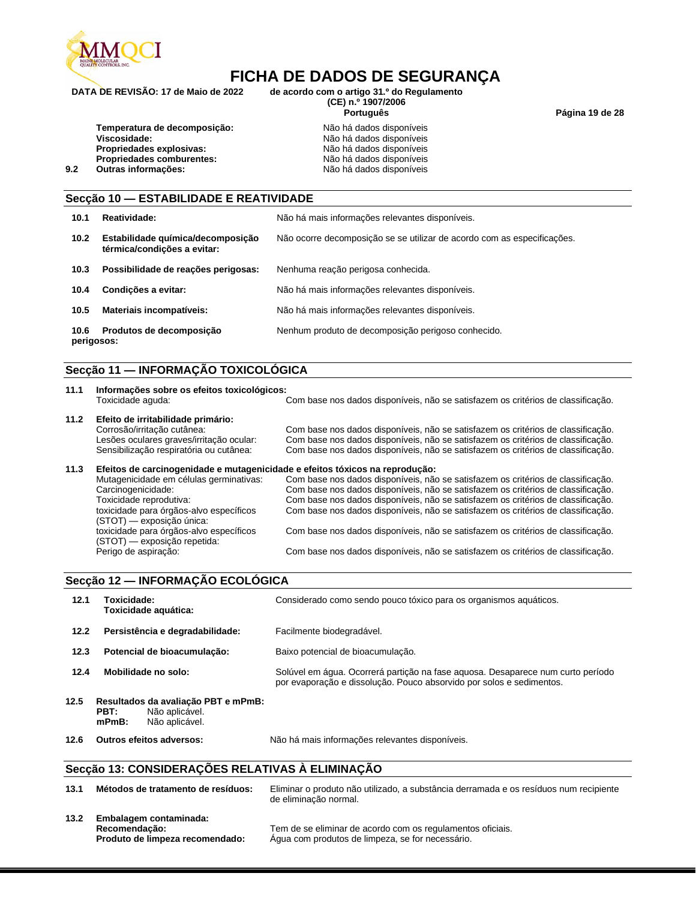

**DATA DE REVISÃO: 17 de Maio de 2022 de acordo com o artigo 31.º do Regulamento (CE) n.º 1907/2006**

**Português Página 19 de 28**

**Temperatura de decomposição:** Não há dados disponíveis<br>
Viscosidade: Niscosidade: Não há dados disponíveis **Propriedades explosivas:** Não há dados disponíveis<br> **Propriedades comburentes:** Não há dados disponíveis Propriedades comburentes:<br>Outras informações:

Não há dados disponíveis<br>Não há dados disponíveis **9.2 Outras informações:** Não há dados disponíveis

#### **Secção 10 — ESTABILIDADE E REATIVIDADE**

| 10.1               | Reatividade:                                                     | Não há mais informações relevantes disponíveis.                         |
|--------------------|------------------------------------------------------------------|-------------------------------------------------------------------------|
| 10.2               | Estabilidade química/decomposição<br>térmica/condicões a evitar: | Não ocorre decomposição se se utilizar de acordo com as especificações. |
| 10.3               | Possibilidade de reações perigosas:                              | Nenhuma reação perigosa conhecida.                                      |
| 10.4               | Condições a evitar:                                              | Não há mais informações relevantes disponíveis.                         |
| 10.5               | Materiais incompatíveis:                                         | Não há mais informações relevantes disponíveis.                         |
| 10.6<br>perigosos: | Produtos de decomposição                                         | Nenhum produto de decomposição perigoso conhecido.                      |

#### **Secção 11 — INFORMAÇÃO TOXICOLÓGICA**

| 11.1 | Informações sobre os efeitos toxicológicos:<br>Toxicidade aquda:                                                                                         | Com base nos dados disponíveis, não se satisfazem os critérios de classificação.                                                                                                                                                                         |  |  |
|------|----------------------------------------------------------------------------------------------------------------------------------------------------------|----------------------------------------------------------------------------------------------------------------------------------------------------------------------------------------------------------------------------------------------------------|--|--|
| 11.2 | Efeito de irritabilidade primário:<br>Corrosão/irritação cutânea:<br>Lesões oculares graves/irritação ocular:<br>Sensibilização respiratória ou cutânea: | Com base nos dados disponíveis, não se satisfazem os critérios de classificação.<br>Com base nos dados disponíveis, não se satisfazem os critérios de classificação.<br>Com base nos dados disponíveis, não se satisfazem os critérios de classificação. |  |  |
| 11.3 | Efeitos de carcinogenidade e mutagenicidade e efeitos tóxicos na reprodução:                                                                             |                                                                                                                                                                                                                                                          |  |  |
|      | Mutagenicidade em células germinativas:<br>Carcinogenicidade:<br>Toxicidade reprodutiva:                                                                 | Com base nos dados disponíveis, não se satisfazem os critérios de classificação.<br>Com base nos dados disponíveis, não se satisfazem os critérios de classificação.<br>Com base nos dados disponíveis, não se satisfazem os critérios de classificação. |  |  |
|      | toxicidade para órgãos-alvo específicos<br>(STOT) — exposição única:                                                                                     | Com base nos dados disponíveis, não se satisfazem os critérios de classificação.                                                                                                                                                                         |  |  |
|      | toxicidade para órgãos-alvo específicos<br>(STOT) — exposição repetida:                                                                                  | Com base nos dados disponíveis, não se satisfazem os critérios de classificação.                                                                                                                                                                         |  |  |
|      | Perigo de aspiração:                                                                                                                                     | Com base nos dados disponíveis, não se satisfazem os critérios de classificação.                                                                                                                                                                         |  |  |

#### **Secção 12 — INFORMAÇÃO ECOLÓGICA**

| 12.1 | Toxicidade:<br>Toxicidade aquática:                                                         | Considerado como sendo pouco tóxico para os organismos aquáticos.                                                                                       |
|------|---------------------------------------------------------------------------------------------|---------------------------------------------------------------------------------------------------------------------------------------------------------|
| 12.2 | Persistência e degradabilidade:                                                             | Facilmente biodegradável.                                                                                                                               |
| 12.3 | Potencial de bioacumulação:                                                                 | Baixo potencial de bioacumulação.                                                                                                                       |
| 12.4 | Mobilidade no solo:                                                                         | Solúvel em água. Ocorrerá partição na fase aguosa. Desaparece num curto período<br>por evaporação e dissolução. Pouco absorvido por solos e sedimentos. |
| 12.5 | Resultados da avaliação PBT e mPmB:<br>PBT:<br>Não aplicável.<br>Não aplicável.<br>$mPmB$ : |                                                                                                                                                         |
| 12.6 | <b>Outros efeitos adversos:</b>                                                             | Não há mais informações relevantes disponíveis.                                                                                                         |

#### **Secção 13: CONSIDERAÇÕES RELATIVAS À ELIMINAÇÃO**

| 13.1 | Métodos de tratamento de resíduos:                                         | Eliminar o produto não utilizado, a substância derramada e os resíduos num recipiente<br>de eliminação normal. |
|------|----------------------------------------------------------------------------|----------------------------------------------------------------------------------------------------------------|
| 13.2 | Embalagem contaminada:<br>Recomendação:<br>Produto de limpeza recomendado: | Tem de se eliminar de acordo com os regulamentos oficiais.<br>Aqua com produtos de limpeza, se for necessário. |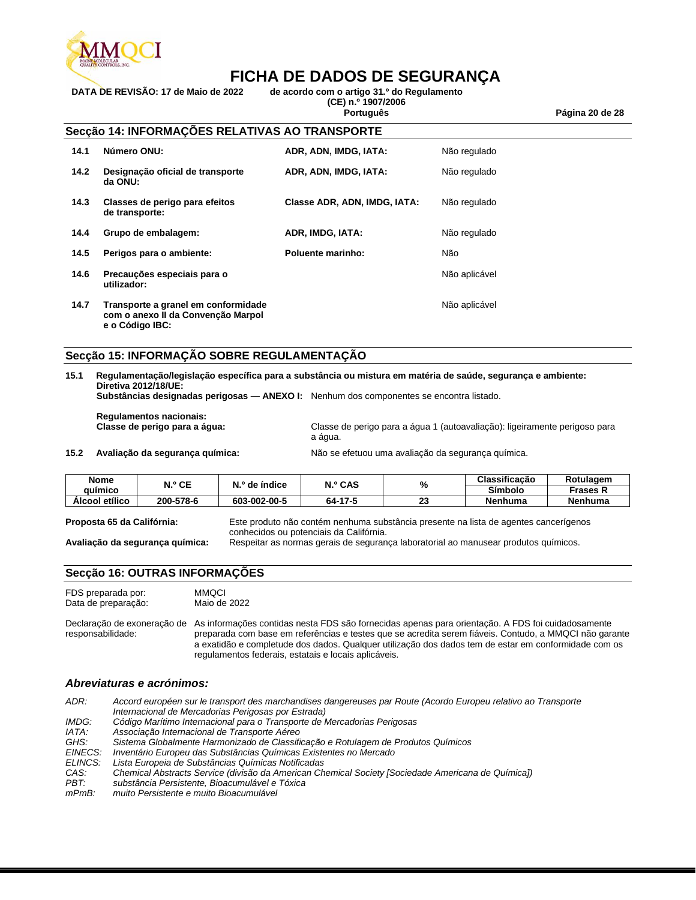

**DATA DE REVISÃO: 17 de Maio de 2022 de acordo com o artigo 31.º do Regulamento** 

**(CE) n.º 1907/2006 Português Página 20 de 28**

#### **Secção 14: INFORMAÇÕES RELATIVAS AO TRANSPORTE**

| 14.1 | Número ONU:                                                                                  | ADR, ADN, IMDG, IATA:        | Não regulado  |
|------|----------------------------------------------------------------------------------------------|------------------------------|---------------|
| 14.2 | Designação oficial de transporte<br>da ONU:                                                  | ADR, ADN, IMDG, IATA:        | Não regulado  |
| 14.3 | Classes de perigo para efeitos<br>de transporte:                                             | Classe ADR, ADN, IMDG, IATA: | Não regulado  |
| 14.4 | Grupo de embalagem:                                                                          | ADR, IMDG, IATA:             | Não regulado  |
| 14.5 | Perigos para o ambiente:                                                                     | Poluente marinho:            | Não           |
| 14.6 | Precauções especiais para o<br>utilizador:                                                   |                              | Não aplicável |
| 14.7 | Transporte a granel em conformidade<br>com o anexo II da Convenção Marpol<br>e o Código IBC: |                              | Não aplicável |

#### **Secção 15: INFORMAÇÃO SOBRE REGULAMENTAÇÃO**

#### **15.1 Regulamentação/legislação específica para a substância ou mistura em matéria de saúde, segurança e ambiente: Diretiva 2012/18/UE:**

**Substâncias designadas perigosas — ANEXO I:** Nenhum dos componentes se encontra listado.

**Regulamentos nacionais:**

**Classe de perigo para a água:** Classe de perigo para a água 1 (autoavaliação): ligeiramente perigoso para a água.

**15.2 Avaliação da segurança química:** Não se efetuou uma avaliação da segurança química.

| <b>Nome</b>    | $N.$ <sup>o</sup> CE | N.º de índice | N.º CAS | %        | Classificação  | Rotulagem       |
|----------------|----------------------|---------------|---------|----------|----------------|-----------------|
| auímico        |                      |               |         |          | <b>Símbolo</b> | <b>Frases N</b> |
| Alcool etílico | 200-578-6            | 603-002-00-5  | 64-17-5 | n.<br>20 | <b>Nenhuma</b> | Nenhuma         |

**Proposta 65 da Califórnia:** Este produto não contém nenhuma substância presente na lista de agentes cancerígenos conhecidos ou potenciais da Califórnia.

**Avaliação da segurança química:** Respeitar as normas gerais de segurança laboratorial ao manusear produtos químicos.

#### **Secção 16: OUTRAS INFORMAÇÕES**

| FDS preparada por:  | <b>MMQCI</b> |
|---------------------|--------------|
| Data de preparação: | Maio de 2022 |

Declaração de exoneração de As informações contidas nesta FDS são fornecidas apenas para orientação. A FDS foi cuidadosamente responsabilidade: preparada com base em referências e testes que se acredita serem fiáveis. Contudo, a MMQCI não garante a exatidão e completude dos dados. Qualquer utilização dos dados tem de estar em conformidade com os regulamentos federais, estatais e locais aplicáveis.

#### *Abreviaturas e acrónimos:*

*ADR: Accord européen sur le transport des marchandises dangereuses par Route (Acordo Europeu relativo ao Transporte Internacional de Mercadorias Perigosas por Estrada) IMDG: Código Marítimo Internacional para o Transporte de Mercadorias Perigosas IATA: Associação Internacional de Transporte Aéreo GHS: Sistema Globalmente Harmonizado de Classificação e Rotulagem de Produtos Químicos EINECS: Inventário Europeu das Substâncias Químicas Existentes no Mercado ELINCS: Lista Europeia de Substâncias Químicas Notificadas CAS: Chemical Abstracts Service (divisão da American Chemical Society [Sociedade Americana de Química]) PBT: substância Persistente, Bioacumulável e Tóxica*

*mPmB: muito Persistente e muito Bioacumulável*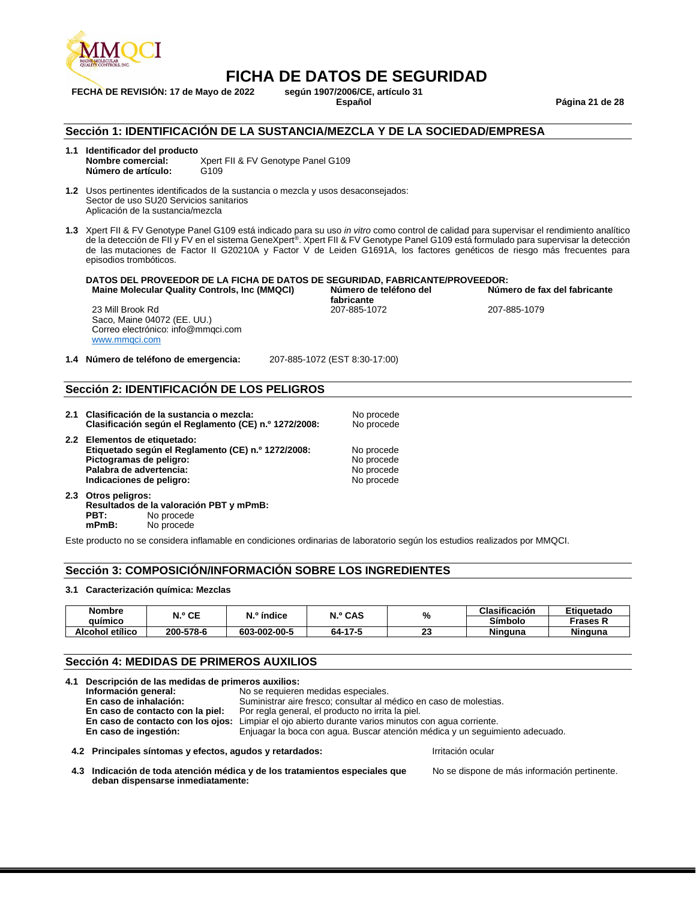

## **FICHA DE DATOS DE SEGURIDAD**

**FECHA DE REVISIÓN: 17 de Mayo de 2022 según 1907/2006/CE, artículo 31 Español Página 21 de 28**

#### **Sección 1: IDENTIFICACIÓN DE LA SUSTANCIA/MEZCLA Y DE LA SOCIEDAD/EMPRESA**

- **1.1 Identificador del producto Nombre comercial:** Xpert FII & FV Genotype Panel G109 **Número de artículo:**
- **1.2** Usos pertinentes identificados de la sustancia o mezcla y usos desaconsejados: Sector de uso SU20 Servicios sanitarios Aplicación de la sustancia/mezcla
- **1.3** Xpert FII & FV Genotype Panel G109 está indicado para su uso *in vitro* como control de calidad para supervisar el rendimiento analítico de la detección de FII y FV en el sistema GeneXpert®. Xpert FII & FV Genotype Panel G109 está formulado para supervisar la detección de las mutaciones de Factor II G20210A y Factor V de Leiden G1691A, los factores genéticos de riesgo más frecuentes para episodios trombóticos.

**DATOS DEL PROVEEDOR DE LA FICHA DE DATOS DE SEGURIDAD, FABRICANTE/PROVEEDOR: Maine Molecular Quality Controls, Inc (MMQCI) Número de fax del fabricante**

23 Mill Brook Rd Saco, Maine 04072 (EE. UU.) Correo electrónico: info@mmqci.com [www.mmqci.com](http://www.mmqci.com/)

**fabricante**<br>207-885-1072

207-885-1079

**1.4 Número de teléfono de emergencia:** 207-885-1072 (EST 8:30-17:00)

#### **Sección 2: IDENTIFICACIÓN DE LOS PELIGROS**

- **2.1 Clasificación de la sustancia o mezcla:** No procede<br>**Clasificación según el Reglamento (CE) n.º 1272/2008:** No procede Clasificación según el Reglamento (CE) n.º 1272/2008:
- **2.2 Elementos de etiquetado: Etiquetado según el Reglamento (CE) n.º 1272/2008:** No procede<br>**Pictogramas de peligro:** No procede **Pictogramas de peligro:** No procede<br> **Palabra de advertencia:** No procede **Palabra de advertencia:** No procede indicaciones de peligro:<br> **Indicaciones de peligro:** No procede indicaciones de peligro: **Indicaciones de peligro:**
- **2.3 Otros peligros: Resultados de la valoración PBT y mPmB: PBT:** No procede<br> **mPmB:** No procede No procede

Este producto no se considera inflamable en condiciones ordinarias de laboratorio según los estudios realizados por MMQCI.

#### **Sección 3: COMPOSICIÓN/INFORMACIÓN SOBRE LOS INGREDIENTES**

#### **3.1 Caracterización química: Mezclas**

| <b>Nombre</b>      | N.º CE    | N.º índice   | <b>N.º CAS</b> | o,      | Clasificación  | Etiauetado     |
|--------------------|-----------|--------------|----------------|---------|----------------|----------------|
| auimico            |           |              |                | 7о      | Símbolo        | Frases N       |
| etílico<br>Alcohol | 200-578-6 | 603-002-00-5 | 64-17-5        | ^^<br>∼ | <b>Ninguna</b> | <b>Ninguna</b> |

#### **Sección 4: MEDIDAS DE PRIMEROS AUXILIOS**

| 4.1 | Descripción de las medidas de primeros auxilios:                                                                 |                                                                                                     |                                              |
|-----|------------------------------------------------------------------------------------------------------------------|-----------------------------------------------------------------------------------------------------|----------------------------------------------|
|     | Información general:                                                                                             | No se requieren medidas especiales.                                                                 |                                              |
|     | En caso de inhalación:                                                                                           | Suministrar aire fresco; consultar al médico en caso de molestias.                                  |                                              |
|     | En caso de contacto con la piel:                                                                                 | Por regla general, el producto no irrita la piel.                                                   |                                              |
|     |                                                                                                                  | En caso de contacto con los ojos: Limpiar el ojo abierto durante varios minutos con aqua corriente. |                                              |
|     | En caso de ingestión:                                                                                            | Enjuagar la boca con agua. Buscar atención médica y un seguimiento adecuado.                        |                                              |
|     | 4.2 Principales síntomas y efectos, agudos y retardados:                                                         |                                                                                                     | Irritación ocular                            |
|     | 4.3 Indicación de toda atención médica y de los tratamientos especiales que<br>deban dispensarse inmediatamente: |                                                                                                     | No se dispone de más información pertinente. |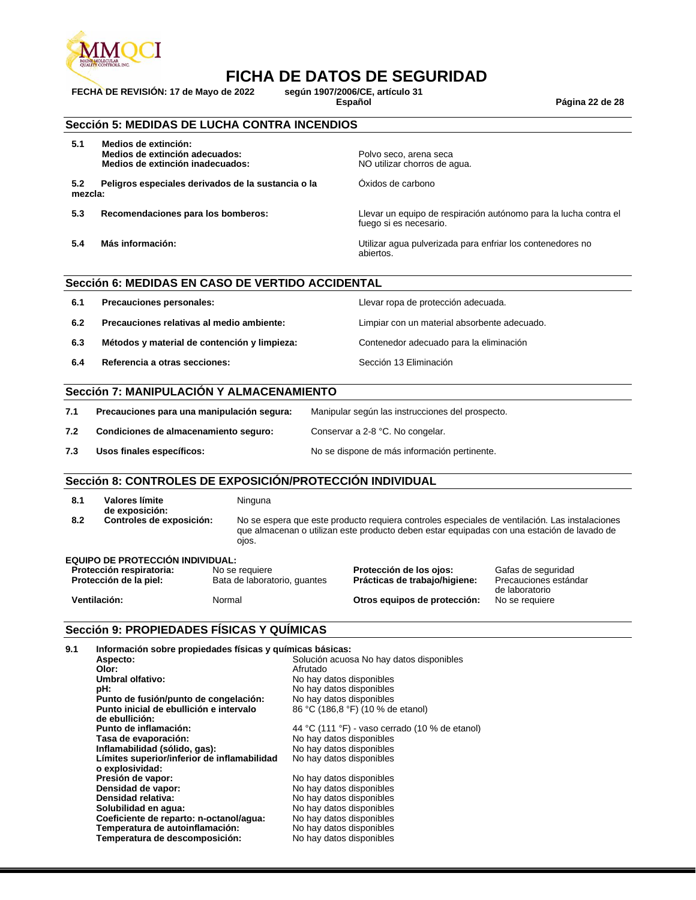

# **FICHA DE DATOS DE SEGURIDAD**<br>de 2022 según 1907/2006/CE, artículo 31

**FECHA DE REVISIÓN: 17 de Mayo de 2022 según 1907/2006/CE, artículo 31**

**Español Página 22 de 28**

#### **Sección 5: MEDIDAS DE LUCHA CONTRA INCENDIOS**

- **5.1 Medios de extinción:** Medios de extinción adecuados: **Actual Entrarco en Entrarco en Polvo** seco, arena seca
- **5.2 Peligros especiales derivados de la sustancia o la mezcla:**

**Medios de extinción inadecuados:** NO utilizar chorros de agua.

Óxidos de carbono

**5.3 Recomendaciones para los bomberos:** Llevar un equipo de respiración autónomo para la lucha contra el fuego si es necesario.

**5.4 Más información:** Utilizar agua pulverizada para enfriar los contenedores no abiertos.

#### **Sección 6: MEDIDAS EN CASO DE VERTIDO ACCIDENTAL**

- **6.1 Precauciones personales:** Llevar ropa de protección adecuada.
- **6.2 Precauciones relativas al medio ambiente:** Limpiar con un material absorbente adecuado.
- **6.3 Métodos y material de contención y limpieza:** Contenedor adecuado para la eliminación
- **6.4 Referencia a otras secciones:** Sección 13 Eliminación

#### **Sección 7: MANIPULACIÓN Y ALMACENAMIENTO**

| 7.1 | Precauciones para una manipulación segura: | Manipular según las instrucciones del prospecto. |
|-----|--------------------------------------------|--------------------------------------------------|
| 7.2 | Condiciones de almacenamiento seguro:      | Conservar a 2-8 °C. No congelar.                 |
| 7.3 | Usos finales específicos:                  | No se dispone de más información pertinente.     |

### **Sección 8: CONTROLES DE EXPOSICIÓN/PROTECCIÓN INDIVIDUAL** Ninguna

| 8.1 | Valores límite |
|-----|----------------|
|     | de exposición: |

**8.2 Controles de exposición:** No se espera que este producto requiera controles especiales de ventilación. Las instalaciones que almacenan o utilizan este producto deben estar equipadas con una estación de lavado de ojos.

| <b>EQUIPO DE PROTECCIÓN INDIVIDUAL:</b> |                           |  |
|-----------------------------------------|---------------------------|--|
| Protección respiratoria:                | No se requiere            |  |
| Protección de la piel:                  | Bata de laboratorio, guan |  |
|                                         |                           |  |

Prácticas de trabajo/higiene:

**Ventilación:** Normal **Desembra de la protección: Otros equipos de protección:** 

**Protección de los ojos:** Gafas de seguridad<br>ites **Prácticas de trabajo/higiene:** Precauciones estándar de laboratorio<br>No se requiere

#### **Sección 9: PROPIEDADES FÍSICAS Y QUÍMICAS**

| 9.1 | Información sobre propiedades físicas y químicas básicas: |                                                |
|-----|-----------------------------------------------------------|------------------------------------------------|
|     | Aspecto:                                                  | Solución acuosa No hay datos disponibles       |
|     | Olor:                                                     | Afrutado                                       |
|     | Umbral olfativo:                                          | No hay datos disponibles                       |
|     | pH:                                                       | No hay datos disponibles                       |
|     | Punto de fusión/punto de congelación:                     | No hay datos disponibles                       |
|     | Punto inicial de ebullición e intervalo                   | 86 °C (186,8 °F) (10 % de etanol)              |
|     | de ebullición:                                            |                                                |
|     | Punto de inflamación:                                     | 44 °C (111 °F) - vaso cerrado (10 % de etanol) |
|     | Tasa de evaporación:                                      | No hay datos disponibles                       |
|     | Inflamabilidad (sólido, gas):                             | No hay datos disponibles                       |
|     | Límites superior/inferior de inflamabilidad               | No hay datos disponibles                       |
|     | o explosividad:                                           |                                                |
|     | Presión de vapor:                                         | No hay datos disponibles                       |
|     | Densidad de vapor:                                        | No hay datos disponibles                       |
|     | Densidad relativa:                                        | No hay datos disponibles                       |
|     | Solubilidad en agua:                                      | No hay datos disponibles                       |
|     | Coeficiente de reparto: n-octanol/aqua:                   | No hay datos disponibles                       |
|     | Temperatura de autoinflamación:                           | No hay datos disponibles                       |
|     | Temperatura de descomposición:                            | No hay datos disponibles                       |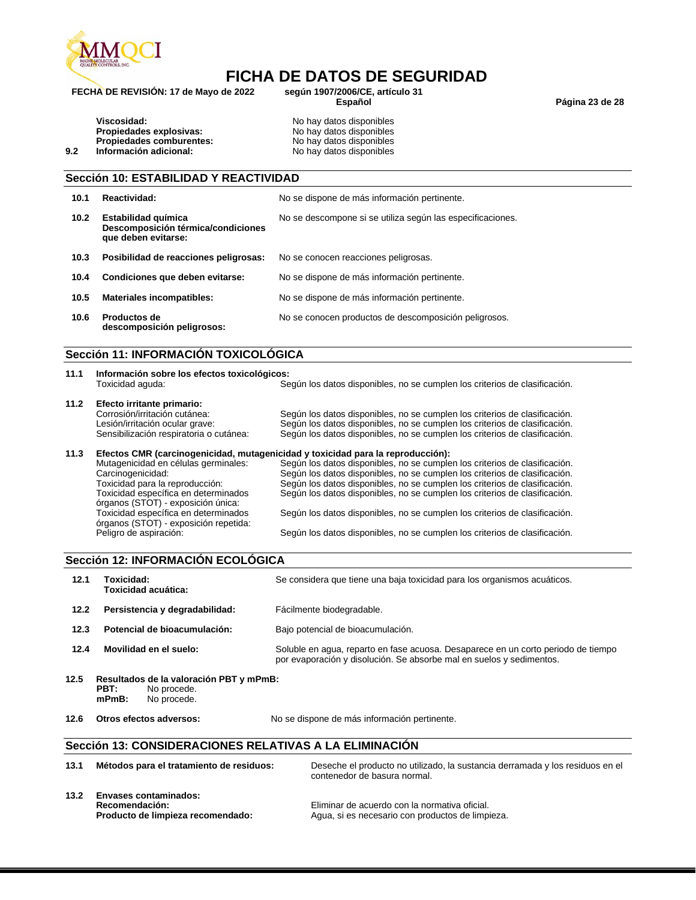

# **FICHA DE DATOS DE SEGURIDAD**

**FECHA DE REVISIÓN: 17 de Mayo de 2022 según 1907/2006/CE, artículo 31**

**Español Página 23 de 28**

**Propiedades explosivas: Propiedades comburentes:** No hay datos disponibles<br> **Información adicional:** No hay datos disponibles **9.2 Información adicional:** No hay datos disponibles

**Viscosidad:** No hay datos disponibles<br> **Propiedades explosivas:** No hay datos disponibles

|                   | Sección 10: ESTABILIDAD Y REACTIVIDAD                                            |                                                            |  |  |
|-------------------|----------------------------------------------------------------------------------|------------------------------------------------------------|--|--|
| 10.1              | Reactividad:                                                                     | No se dispone de más información pertinente.               |  |  |
| 10.2 <sub>1</sub> | Estabilidad química<br>Descomposición térmica/condiciones<br>que deben evitarse: | No se descompone si se utiliza según las especificaciones. |  |  |
| 10.3              | Posibilidad de reacciones peligrosas:                                            | No se conocen reacciones peligrosas.                       |  |  |
| 10.4              | Condiciones que deben evitarse:                                                  | No se dispone de más información pertinente.               |  |  |
| 10.5              | <b>Materiales incompatibles:</b>                                                 | No se dispone de más información pertinente.               |  |  |
| 10.6              | Productos de<br>descomposición peligrosos:                                       | No se conocen productos de descomposición peligrosos.      |  |  |

#### **Sección 11: INFORMACIÓN TOXICOLÓGICA**

**11.1 Información sobre los efectos toxicológicos:**

Según los datos disponibles, no se cumplen los criterios de clasificación.

**11.2 Efecto irritante primario:**

Corrosión/irritación cutánea: Según los datos disponibles, no se cumplen los criterios de clasificación.<br>
Lesión/irritación ocular grave: Según los datos disponibles, no se cumplen los criterios de clasificación. Según los datos disponibles, no se cumplen los criterios de clasificación. Sensibilización respiratoria o cutánea: Según los datos disponibles, no se cumplen los criterios de clasificación.

#### **11.3 Efectos CMR (carcinogenicidad, mutagenicidad y toxicidad para la reproducción):**

Mutagenicidad en células germinales: Según los datos disponibles, no se cumplen los criterios de clasificación.<br>Carcinogenicidad: Según los datos disponibles, no se cumplen los criterios de clasificación. Carcinogenicidad: Según los datos disponibles, no se cumplen los criterios de clasificación.<br>
Toxicidad para la reproducción: Según los datos disponibles, no se cumplen los criterios de clasificación. Según los datos disponibles, no se cumplen los criterios de clasificación. Toxicidad específica en determinados órganos (STOT) - exposición única: Según los datos disponibles, no se cumplen los criterios de clasificación. Toxicidad específica en determinados órganos (STOT) - exposición repetida: Según los datos disponibles, no se cumplen los criterios de clasificación. Peligro de aspiración: Según los datos disponibles, no se cumplen los criterios de clasificación.

#### **Sección 12: INFORMACIÓN ECOLÓGICA**

| 12.1 | Toxicidad:<br>Toxicidad acuática:                                                         | Se considera que tiene una baja toxicidad para los organismos acuáticos.                                                                                  |
|------|-------------------------------------------------------------------------------------------|-----------------------------------------------------------------------------------------------------------------------------------------------------------|
| 12.2 | Persistencia y degradabilidad:                                                            | Fácilmente biodegradable.                                                                                                                                 |
| 12.3 | Potencial de bioacumulación:                                                              | Bajo potencial de bioacumulación.                                                                                                                         |
| 12.4 | Movilidad en el suelo:                                                                    | Soluble en agua, reparto en fase acuosa. Desaparece en un corto periodo de tiempo<br>por evaporación y disolución. Se absorbe mal en suelos y sedimentos. |
| 12.5 | Resultados de la valoración PBT y mPmB:<br>No procede.<br>PBT:<br>$mPmB$ :<br>No procede. |                                                                                                                                                           |

#### **12.6 Otros efectos adversos:** No se dispone de más información pertinente.

#### **Sección 13: CONSIDERACIONES RELATIVAS A LA ELIMINACIÓN**

| 13.1 | Métodos para el tratamiento de residuos: | Deseche el producto no utilizado, la sustancia derramada y los residuos en el<br>contenedor de basura normal. |
|------|------------------------------------------|---------------------------------------------------------------------------------------------------------------|
| 13.2 | <b>Envases contaminados:</b>             |                                                                                                               |
|      | Recomendación:                           | Eliminar de acuerdo con la normativa oficial.                                                                 |
|      | Producto de limpieza recomendado:        | Agua, si es necesario con productos de limpieza.                                                              |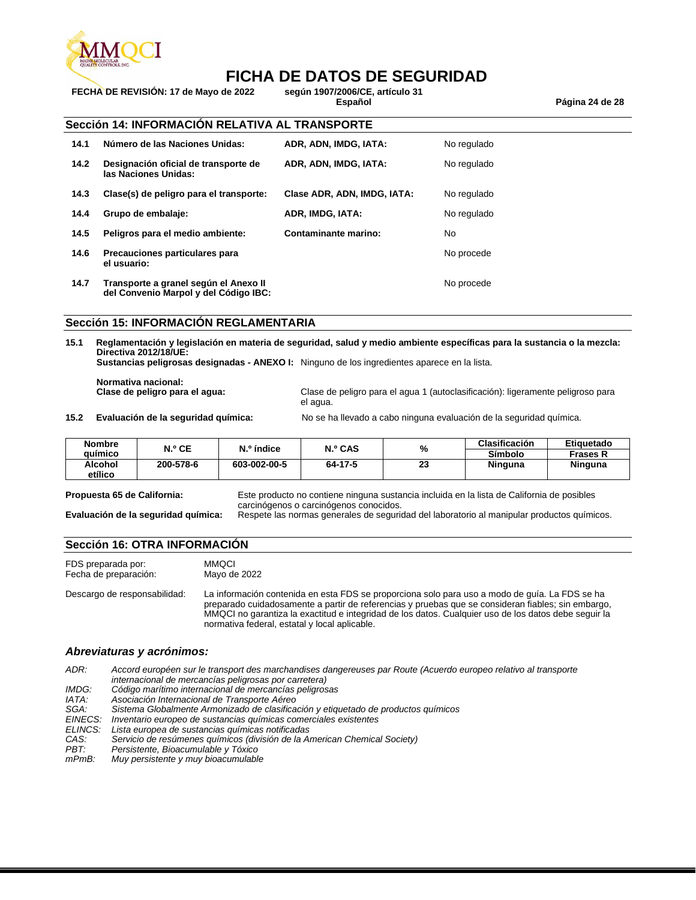

# **FICHA DE DATOS DE SEGURIDAD**

**FECHA DE REVISIÓN: 17 de Mayo de 2022 según 1907/2006/CE, artículo 31**

**Español Página 24 de 28**

#### **Sección 14: INFORMACIÓN RELATIVA AL TRANSPORTE**

| 14.1 | Número de las Naciones Unidas:                                                 | ADR, ADN, IMDG, IATA:       | No regulado |
|------|--------------------------------------------------------------------------------|-----------------------------|-------------|
| 14.2 | Designación oficial de transporte de<br>las Naciones Unidas:                   | ADR. ADN. IMDG. IATA:       | No regulado |
| 14.3 | Clase(s) de peligro para el transporte:                                        | Clase ADR. ADN. IMDG. IATA: | No regulado |
| 14.4 | Grupo de embalaje:                                                             | ADR. IMDG. IATA:            | No regulado |
| 14.5 | Peligros para el medio ambiente:                                               | Contaminante marino:        | No          |
| 14.6 | Precauciones particulares para<br>el usuario:                                  |                             | No procede  |
| 14.7 | Transporte a granel según el Anexo II<br>del Convenio Marpol y del Código IBC: |                             | No procede  |

#### **Sección 15: INFORMACIÓN REGLAMENTARIA**

**15.1 Reglamentación y legislación en materia de seguridad, salud y medio ambiente específicas para la sustancia o la mezcla: Directiva 2012/18/UE:**

**Sustancias peligrosas designadas - ANEXO I:** Ninguno de los ingredientes aparece en la lista.

**Normativa nacional:**

Clase de peligro para el agua 1 (autoclasificación): ligeramente peligroso para el agua.

**15.2 Evaluación de la seguridad química:** No se ha llevado a cabo ninguna evaluación de la seguridad química.

| <b>Nombre</b> | N.º CE    | N.º índice   | <b>N.º CAS</b> | %        | <b>Clasificación</b> | Etiquetado |
|---------------|-----------|--------------|----------------|----------|----------------------|------------|
| auímico       |           |              |                |          | Símbolo              | Frases R   |
| Alcohol       | 200-578-6 | 603-002-00-5 | 64-17-5        | ng<br>23 | Ninguna              | Ninguna    |
| etílico       |           |              |                |          |                      |            |

**Propuesta 65 de California:** Este producto no contiene ninguna sustancia incluida en la lista de California de posibles carcinógenos o carcinógenos conocidos.

**Evaluación de la seguridad química:** Respete las normas generales de seguridad del laboratorio al manipular productos químicos.

#### **Sección 16: OTRA INFORMACIÓN**

FDS preparada por: MMQCI Fecha de preparación: Mayo de 2022

Descargo de responsabilidad: La información contenida en esta FDS se proporciona solo para uso a modo de guía. La FDS se ha preparado cuidadosamente a partir de referencias y pruebas que se consideran fiables; sin embargo, MMQCI no garantiza la exactitud e integridad de los datos. Cualquier uso de los datos debe seguir la normativa federal, estatal y local aplicable.

#### *Abreviaturas y acrónimos:*

*ADR: Accord européen sur le transport des marchandises dangereuses par Route (Acuerdo europeo relativo al transporte internacional de mercancías peligrosas por carretera) IMDG: Código marítimo internacional de mercancías peligrosas IATA: Asociación Internacional de Transporte Aéreo*

*SGA: Sistema Globalmente Armonizado de clasificación y etiquetado de productos químicos*

*EINECS: Inventario europeo de sustancias químicas comerciales existentes*

*ELINCS: Lista europea de sustancias químicas notificadas*

*CAS: Servicio de resúmenes químicos (división de la American Chemical Society)*

*PBT: Persistente, Bioacumulable y Tóxico*

*mPmB: Muy persistente y muy bioacumulable*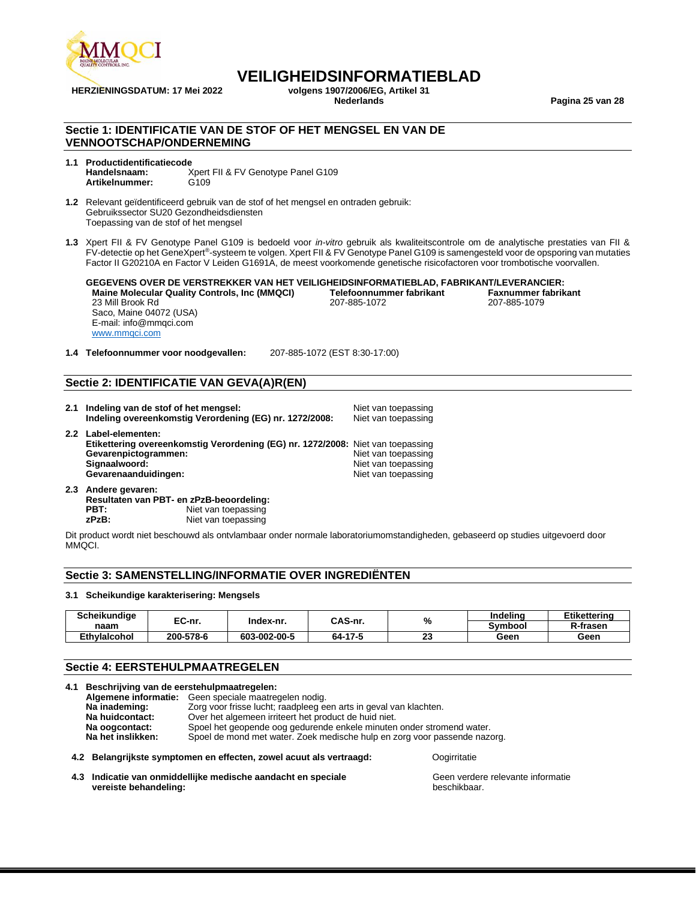

# **VEILIGHEIDSINFORMATIEBLAD**<br>volgens 1907/2006/EG. Artikel 31

**HERZIENINGSDATUM: 17 Mei 2022 volgens 1907/2006/EG, Artikel 31**

**Nederlands Pagina 25 van 28**

#### **Sectie 1: IDENTIFICATIE VAN DE STOF OF HET MENGSEL EN VAN DE VENNOOTSCHAP/ONDERNEMING**

**1.1 Productidentificatiecode Handelsnaam:** Xpert FII & FV Genotype Panel G109 **Artikelnummer:** 

**1.2** Relevant geïdentificeerd gebruik van de stof of het mengsel en ontraden gebruik: Gebruikssector SU20 Gezondheidsdiensten Toepassing van de stof of het mengsel

**1.3** Xpert FII & FV Genotype Panel G109 is bedoeld voor *in-vitro* gebruik als kwaliteitscontrole om de analytische prestaties van FII & FV-detectie op het GeneXpert® -systeem te volgen. Xpert FII & FV Genotype Panel G109 is samengesteld voor de opsporing van mutaties Factor II G20210A en Factor V Leiden G1691A, de meest voorkomende genetische risicofactoren voor trombotische voorvallen.

**GEGEVENS OVER DE VERSTREKKER VAN HET VEILIGHEIDSINFORMATIEBLAD, FABRIKANT/LEVERANCIER: Maine Molecular Quality Controls, Inc (MMQCI) <br>207-885-1072 <br>207-885-1072** 23 Mill Brook Rd Saco, Maine 04072 (USA) E-mail: info@mmqci.com [www.mmqci.com](http://www.mmqci.com/) 207-885-1079

**1.4 Telefoonnummer voor noodgevallen:** 207-885-1072 (EST 8:30-17:00)

#### **Sectie 2: IDENTIFICATIE VAN GEVA(A)R(EN)**

|               | 2.1 Indeling van de stof of het mengsel:<br>Indeling overeenkomstig Verordening (EG) nr. 1272/2008:                                                                  | Niet van toepassing<br>Niet van toepassing                        |
|---------------|----------------------------------------------------------------------------------------------------------------------------------------------------------------------|-------------------------------------------------------------------|
| $2.2^{\circ}$ | Label-elementen:<br>Etikettering overeenkomstig Verordening (EG) nr. 1272/2008: Niet van toepassing<br>Gevarenpictogrammen:<br>Signaalwoord:<br>Gevarenaanduidingen: | Niet van toepassing<br>Niet van toepassing<br>Niet van toepassing |

**2.3 Andere gevaren: Resultaten van PBT- en zPzB-beoordeling: PBT:** Niet van toepassing<br> **zPzB:** Niet van toepassing **Niet van toepassing** 

Dit product wordt niet beschouwd als ontvlambaar onder normale laboratoriumomstandigheden, gebaseerd op studies uitgevoerd door MMQCI.

#### **Sectie 3: SAMENSTELLING/INFORMATIE OVER INGREDIËNTEN**

#### **3.1 Scheikundige karakterisering: Mengsels**

| <b>Scheikundiae</b> | EC-nr.    |              | CAS-nr. | %         | Indelina | Etikettering    |
|---------------------|-----------|--------------|---------|-----------|----------|-----------------|
| naam                |           | Index-nr.    |         |           | Symbool  | <b>R-frasen</b> |
| <b>Ethvlaicohol</b> | 200-578-6 | 603-002-00-5 | 64-17-5 | e e<br>-- | Geen     | Geen            |

#### **Sectie 4: EERSTEHULPMAATREGELEN**

| 4.1 | Beschrijving van de eerstehulpmaatregelen:                                                     |                                                                       |  |  |  |
|-----|------------------------------------------------------------------------------------------------|-----------------------------------------------------------------------|--|--|--|
|     |                                                                                                | Algemene informatie: Geen speciale maatregelen nodig.                 |  |  |  |
|     | Na inademing:                                                                                  | Zorg voor frisse lucht; raadpleeg een arts in geval van klachten.     |  |  |  |
|     | Na huidcontact:                                                                                | Over het algemeen irriteert het product de huid niet.                 |  |  |  |
|     | Na oogcontact:                                                                                 | Spoel het geopende oog gedurende enkele minuten onder stromend water. |  |  |  |
|     | Na het inslikken:<br>Spoel de mond met water. Zoek medische hulp en zorg voor passende nazorg. |                                                                       |  |  |  |
|     | 4.2 Belangrijkste symptomen en effecten, zowel acuut als vertraagd:<br>Oogirritatie            |                                                                       |  |  |  |

**4.3 Indicatie van onmiddellijke medische aandacht en speciale vereiste behandeling:**

Geen verdere relevante informatie beschikbaar.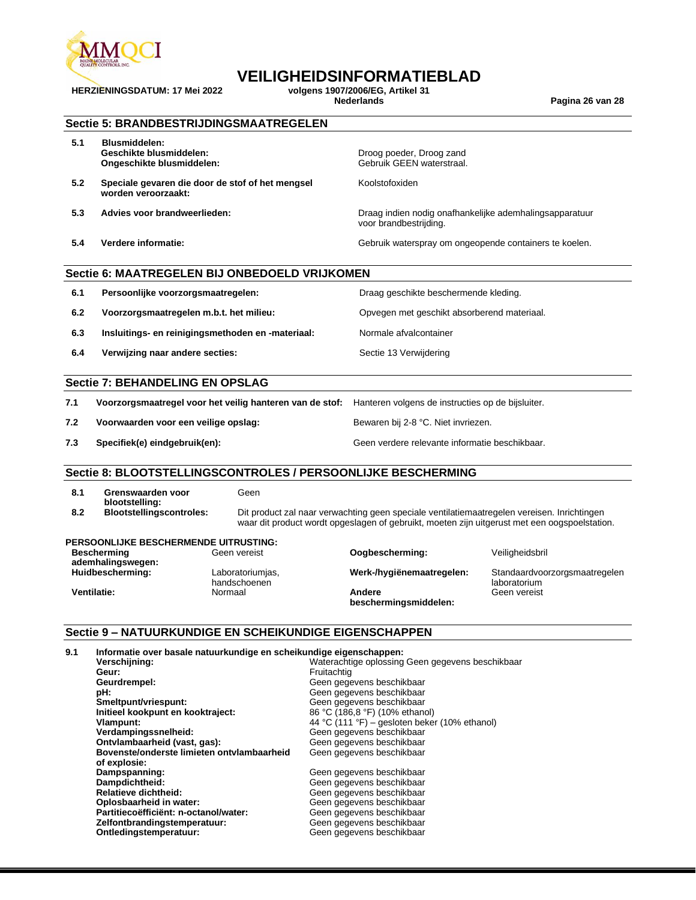

# **VEILIGHEIDSINFORMATIEBLAD**

**HERZIENINGSDATUM: 17 Mei 2022 volgens 1907/2006/EG, Artikel 31**

|            |                                                                                                                                                                                                                                                                                                      |                                             | <b>Nederlands</b>                                                                                                                                                                                                           |                                                                                                   | Pagina 26 van 28                                                                              |
|------------|------------------------------------------------------------------------------------------------------------------------------------------------------------------------------------------------------------------------------------------------------------------------------------------------------|---------------------------------------------|-----------------------------------------------------------------------------------------------------------------------------------------------------------------------------------------------------------------------------|---------------------------------------------------------------------------------------------------|-----------------------------------------------------------------------------------------------|
|            | Sectie 5: BRANDBESTRIJDINGSMAATREGELEN                                                                                                                                                                                                                                                               |                                             |                                                                                                                                                                                                                             |                                                                                                   |                                                                                               |
| 5.1        | <b>Blusmiddelen:</b><br>Geschikte blusmiddelen:<br>Ongeschikte blusmiddelen:                                                                                                                                                                                                                         |                                             |                                                                                                                                                                                                                             | Droog poeder, Droog zand<br>Gebruik GEEN waterstraal.                                             |                                                                                               |
| 5.2        | Speciale gevaren die door de stof of het mengsel<br>worden veroorzaakt:                                                                                                                                                                                                                              |                                             |                                                                                                                                                                                                                             | Koolstofoxiden                                                                                    |                                                                                               |
| 5.3        | Advies voor brandweerlieden:                                                                                                                                                                                                                                                                         |                                             |                                                                                                                                                                                                                             | voor brandbestrijding.                                                                            | Draag indien nodig onafhankelijke ademhalingsapparatuur                                       |
| 5.4        | Verdere informatie:                                                                                                                                                                                                                                                                                  |                                             |                                                                                                                                                                                                                             | Gebruik waterspray om ongeopende containers te koelen.                                            |                                                                                               |
|            | Sectie 6: MAATREGELEN BIJ ONBEDOELD VRIJKOMEN                                                                                                                                                                                                                                                        |                                             |                                                                                                                                                                                                                             |                                                                                                   |                                                                                               |
| 6.1        | Persoonlijke voorzorgsmaatregelen:                                                                                                                                                                                                                                                                   |                                             |                                                                                                                                                                                                                             | Draag geschikte beschermende kleding.                                                             |                                                                                               |
| 6.2        | Voorzorgsmaatregelen m.b.t. het milieu:                                                                                                                                                                                                                                                              |                                             |                                                                                                                                                                                                                             | Opvegen met geschikt absorberend materiaal.                                                       |                                                                                               |
| 6.3        | Insluitings- en reinigingsmethoden en -materiaal:                                                                                                                                                                                                                                                    |                                             |                                                                                                                                                                                                                             | Normale afvalcontainer                                                                            |                                                                                               |
| 6.4        | Verwijzing naar andere secties:                                                                                                                                                                                                                                                                      |                                             |                                                                                                                                                                                                                             | Sectie 13 Verwijdering                                                                            |                                                                                               |
|            | <b>Sectie 7: BEHANDELING EN OPSLAG</b>                                                                                                                                                                                                                                                               |                                             |                                                                                                                                                                                                                             |                                                                                                   |                                                                                               |
| 7.1        | Voorzorgsmaatregel voor het veilig hanteren van de stof:                                                                                                                                                                                                                                             |                                             |                                                                                                                                                                                                                             | Hanteren volgens de instructies op de bijsluiter.                                                 |                                                                                               |
| 7.2        | Voorwaarden voor een veilige opslag:                                                                                                                                                                                                                                                                 |                                             |                                                                                                                                                                                                                             | Bewaren bij 2-8 °C. Niet invriezen.                                                               |                                                                                               |
| 7.3        | Specifiek(e) eindgebruik(en):                                                                                                                                                                                                                                                                        |                                             |                                                                                                                                                                                                                             | Geen verdere relevante informatie beschikbaar.                                                    |                                                                                               |
|            | Sectie 8: BLOOTSTELLINGSCONTROLES / PERSOONLIJKE BESCHERMING                                                                                                                                                                                                                                         |                                             |                                                                                                                                                                                                                             |                                                                                                   |                                                                                               |
| 8.1<br>8.2 | Grenswaarden voor<br>blootstelling:<br><b>Blootstellingscontroles:</b>                                                                                                                                                                                                                               | Geen                                        |                                                                                                                                                                                                                             |                                                                                                   | Dit product zal naar verwachting geen speciale ventilatiemaatregelen vereisen. Inrichtingen   |
|            |                                                                                                                                                                                                                                                                                                      |                                             |                                                                                                                                                                                                                             |                                                                                                   | waar dit product wordt opgeslagen of gebruikt, moeten zijn uitgerust met een oogspoelstation. |
|            | <b>PERSOONLIJKE BESCHERMENDE UITRUSTING:</b><br>Beschermina<br>ademhalingswegen:                                                                                                                                                                                                                     | Geen vereist                                |                                                                                                                                                                                                                             | Oogbescherming:                                                                                   | Veiligheidsbril                                                                               |
|            | Huidbescherming:<br><b>Ventilatie:</b>                                                                                                                                                                                                                                                               | Laboratoriumjas,<br>handschoenen<br>Normaal | Andere                                                                                                                                                                                                                      | Werk-/hygiënemaatregelen:<br>beschermingsmiddelen:                                                | Standaardvoorzorgsmaatregelen<br>laboratorium<br>Geen vereist                                 |
|            | Sectie 9 - NATUURKUNDIGE EN SCHEIKUNDIGE EIGENSCHAPPEN                                                                                                                                                                                                                                               |                                             |                                                                                                                                                                                                                             |                                                                                                   |                                                                                               |
| 9.1        | Informatie over basale natuurkundige en scheikundige eigenschappen:<br>Verschijning:<br>Geur:<br>Geurdrempel:<br>pH:<br>Smeltpunt/vriespunt:<br>Initieel kookpunt en kooktraject:<br>Vlampunt:<br>Verdampingssnelheid:<br>Ontvlambaarheid (vast, gas):<br>Bovenste/onderste limieten ontvlambaarheid |                                             | Fruitachtig<br>Geen gegevens beschikbaar<br>Geen gegevens beschikbaar<br>Geen gegevens beschikbaar<br>86 °C (186,8 °F) (10% ethanol)<br>Geen gegevens beschikbaar<br>Geen gegevens beschikbaar<br>Geen gegevens beschikbaar | Waterachtige oplossing Geen gegevens beschikbaar<br>44 °C (111 °F) - gesloten beker (10% ethanol) |                                                                                               |

**Ontledingstemperatuur:** Geen gegevens beschikbaar

**Dampspanning:** Communication Communication Communication Communication Communication Communication Communication **Dampdichtheid:** Geen gegevens beschikbaar **Relatieve dichtheid:**<br> **Relatieve dichtheid:**<br> **Ceen gegevens beschikbaar<br>
Partitiecoëfficiënt: n-octanol/water:**<br> **Ceen gegevens beschikbaar<br>
Geen gegevens beschikbaar**<br>
Geen gegevens beschikbaar **Oplosbaarheid in water:** Geen gegevens beschikbaar Partitiecoëfficiënt: n-octanol/water: Geen gegevens beschikbaar

of explosie:<br>Dampspanning:<br>Dampdichtheid:

Zelfontbrandingstemperatuur:<br>Ontledingstemperatuur: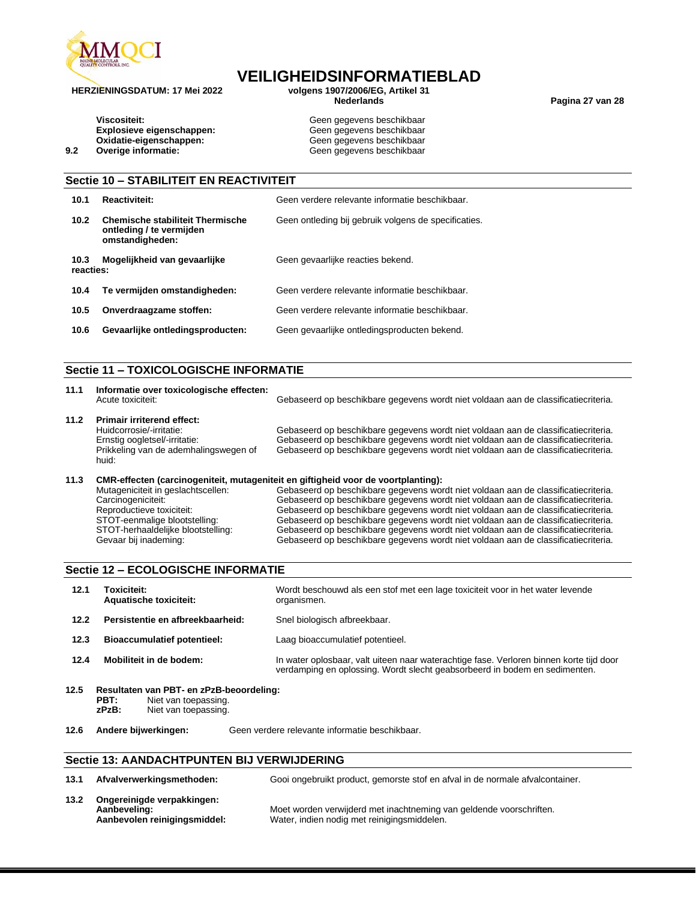

**VEILIGHEIDSINFORMATIEBLAD**

**HERZIENINGSDATUM: 17 Mei 2022 volgens 1907/2006/EG, Artikel 31**

**Nederlands Pagina 27 van 28**

**Viscositeit:**<br> **Explosieve eigenschappen:**<br>
Geen gegevens beschikbaar<br>
Geen gegevens beschikbaar Explosieve eigenschappen:

**Oxidatie-eigenschappen:** Geen gegevens beschikbaar<br> **Overige informatie:** Geen gegevens beschikbaar **9.2 Overige informatie:**  $\qquad \qquad$  **Geen gegevens beschikbaar** 

|                   | Sectie 10 - STABILITEIT EN REACTIVITEIT                                                |                                                      |  |  |  |
|-------------------|----------------------------------------------------------------------------------------|------------------------------------------------------|--|--|--|
| 10.1              | <b>Reactiviteit:</b>                                                                   | Geen verdere relevante informatie beschikbaar.       |  |  |  |
| 10.2              | <b>Chemische stabiliteit Thermische</b><br>ontleding / te vermijden<br>omstandigheden: | Geen ontleding bij gebruik volgens de specificaties. |  |  |  |
| 10.3<br>reacties: | Mogelijkheid van gevaarlijke                                                           | Geen gevaarlijke reacties bekend.                    |  |  |  |
| 10.4              | Te vermijden omstandigheden:                                                           | Geen verdere relevante informatie beschikbaar.       |  |  |  |
| 10.5              | Onverdraagzame stoffen:                                                                | Geen verdere relevante informatie beschikbaar.       |  |  |  |
| 10.6              | Gevaarlijke ontledingsproducten:                                                       | Geen gevaarlijke ontledingsproducten bekend.         |  |  |  |

#### **Sectie 11 – TOXICOLOGISCHE INFORMATIE**

| 11.1 | Informatie over toxicologische effecten:<br>Acute toxiciteit:                                                                                    | Gebaseerd op beschikbare gegevens wordt niet voldaan aan de classificatiecriteria.                                                                                                                                                                             |
|------|--------------------------------------------------------------------------------------------------------------------------------------------------|----------------------------------------------------------------------------------------------------------------------------------------------------------------------------------------------------------------------------------------------------------------|
| 11.2 | <b>Primair irriterend effect:</b><br>Huidcorrosie/-irritatie:<br>Ernstig oogletsel/-irritatie:<br>Prikkeling van de ademhalingswegen of<br>huid: | Gebaseerd op beschikbare gegevens wordt niet voldaan aan de classificatiecriteria.<br>Gebaseerd op beschikbare gegevens wordt niet voldaan aan de classificatiecriteria.<br>Gebaseerd op beschikbare gegevens wordt niet voldaan aan de classificatiecriteria. |
|      | OMD affected (constantantial) accessibility of altializiation and constantantially                                                               |                                                                                                                                                                                                                                                                |

**11.3 CMR-effecten (carcinogeniteit, mutageniteit en giftigheid voor de voortplanting):** Mutageniciteit in geslachtscellen: Gebaseerd op beschikbare gegevens wordt niet voldaan aan de classificatiecriteria. Mutageniciteit in geslachtscellen:<br>Carcinogeniciteit: Gebaseerd op beschikbare gegevens wordt niet voldaan aan de classificatiecriteria.<br>Reproductieve toxiciteit: Gebaseerd op beschikbare gegevens wordt niet voldaan aan de Reproductieve toxiciteit: Gebaseerd op beschikbare gegevens wordt niet voldaan aan de classificatiecriteria.<br>STOT-eenmalige blootstelling: Gebaseerd op beschikbare gegevens wordt niet voldaan aan de classificatiecriteria. STOT-eenmalige blootstelling: Gebaseerd op beschikbare gegevens wordt niet voldaan aan de classificatiecriteria.<br>STOT-herhaaldelijke blootstelling: Gebaseerd op beschikbare gegevens wordt niet voldaan aan de classificatiec STOT-herhaaldelijke blootstelling: Gebaseerd op beschikbare gegevens wordt niet voldaan aan de classificatiecriteria.<br>Gevaar bij inademing: Gebaseerd op beschikbare gegevens wordt niet voldaan aan de classificatiecriteria. Gebaseerd op beschikbare gegevens wordt niet voldaan aan de classificatiecriteria.

|      | <b>Sectie 12 - ECOLOGISCHE INFORMATIE</b>           |                                                                                                                                                                       |  |  |
|------|-----------------------------------------------------|-----------------------------------------------------------------------------------------------------------------------------------------------------------------------|--|--|
| 12.1 | <b>Toxiciteit:</b><br><b>Aquatische toxiciteit:</b> | Wordt beschouwd als een stof met een lage toxiciteit voor in het water levende<br>organismen.                                                                         |  |  |
| 12.2 | Persistentie en afbreekbaarheid:                    | Snel biologisch afbreekbaar.                                                                                                                                          |  |  |
| 12.3 | <b>Bioaccumulatief potentieel:</b>                  | Laag bioaccumulatief potentieel.                                                                                                                                      |  |  |
| 12.4 | Mobiliteit in de bodem:                             | In water oplosbaar, valt uiteen naar waterachtige fase. Verloren binnen korte tijd door<br>verdamping en oplossing. Wordt slecht geabsorbeerd in bodem en sedimenten. |  |  |
|      | 125 Decultator van DDT en zDzD begerdelings         |                                                                                                                                                                       |  |  |

- **12.5 Resultaten van PBT- en zPzB-beoordeling: PBT:** Niet van toepassing.<br>**zPzB:** Niet van toepassing. Niet van toepassing.
- **12.6 Andere bijwerkingen:** Geen verdere relevante informatie beschikbaar.

#### **Sectie 13: AANDACHTPUNTEN BIJ VERWIJDERING**

| 13.1 | Afvalverwerkingsmethoden:                                                  | Gooi ongebruikt product, gemorste stof en afval in de normale afvalcontainer.                                      |
|------|----------------------------------------------------------------------------|--------------------------------------------------------------------------------------------------------------------|
| 13.2 | Ongereinigde verpakkingen:<br>Aanbeveling:<br>Aanbevolen reinigingsmiddel: | Moet worden verwijderd met inachtneming van geldende voorschriften.<br>Water, indien nodig met reinigingsmiddelen. |